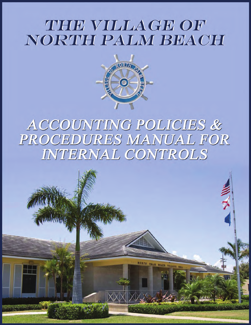# THE VILLAGE OF NORTH PALM BEACH



# ACCOUNTING POLICIES & PROCEDURES MANUAL FOR INTERNAL CONTROLS

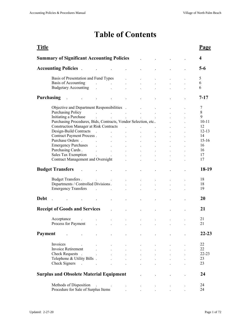# **Table of Contents**

| <b>Title</b> |                                                                                                                                                                                                                                |                                                                                                                                       |                                                                  |                      |                      |                      | Page                    |
|--------------|--------------------------------------------------------------------------------------------------------------------------------------------------------------------------------------------------------------------------------|---------------------------------------------------------------------------------------------------------------------------------------|------------------------------------------------------------------|----------------------|----------------------|----------------------|-------------------------|
|              | <b>Summary of Significant Accounting Policies</b>                                                                                                                                                                              |                                                                                                                                       |                                                                  |                      |                      |                      | $\overline{\mathbf{4}}$ |
|              | <b>Accounting Policies</b> .                                                                                                                                                                                                   |                                                                                                                                       |                                                                  |                      |                      |                      | $5-6$                   |
|              | Basis of Presentation and Fund Types                                                                                                                                                                                           |                                                                                                                                       |                                                                  |                      |                      |                      | 5                       |
|              | Basis of Accounting<br>$\sim 10$                                                                                                                                                                                               | $\mathbf{L}$                                                                                                                          |                                                                  |                      |                      |                      | 6                       |
|              | Budgetary Accounting .                                                                                                                                                                                                         | $\ddot{\phantom{a}}$                                                                                                                  |                                                                  |                      |                      |                      | 6                       |
|              | <b>Purchasing</b><br>$\overline{\phantom{a}}$                                                                                                                                                                                  |                                                                                                                                       |                                                                  |                      |                      |                      | $7 - 17$                |
|              | Objective and Department Responsibilities .                                                                                                                                                                                    |                                                                                                                                       |                                                                  |                      |                      |                      | 7                       |
|              | Purchasing Policy                                                                                                                                                                                                              | $\mathcal{L}^{\mathcal{L}}$ . The contribution of the contribution of the contribution of $\mathcal{L}^{\mathcal{L}}$                 |                                                                  |                      |                      |                      | 8                       |
|              | Initiating a Purchase                                                                                                                                                                                                          | $\mathbf{a}^{\prime}$ , and $\mathbf{a}^{\prime}$ , and $\mathbf{a}^{\prime}$ , and $\mathbf{a}^{\prime}$ , and $\mathbf{a}^{\prime}$ |                                                                  |                      | $\sim$               |                      | 9                       |
|              | Purchasing Procedures, Bids, Contracts, Vendor Selection, etc                                                                                                                                                                  |                                                                                                                                       |                                                                  |                      |                      |                      | $10-11$                 |
|              | <b>Construction Manager at Risk Contracts</b> .                                                                                                                                                                                |                                                                                                                                       |                                                                  |                      | $\ddot{\phantom{a}}$ |                      | 12                      |
|              | Design-Build Contracts .                                                                                                                                                                                                       | $\mathbf{L}$                                                                                                                          | $\ddot{\phantom{a}}$                                             | $\ddot{\phantom{a}}$ | $\ddot{\phantom{a}}$ |                      | $12 - 13$               |
|              | Contract Payment Process.                                                                                                                                                                                                      | <b>Contract Contract</b>                                                                                                              |                                                                  |                      |                      |                      | 14                      |
|              | Purchase Orders.                                                                                                                                                                                                               | <b>Contract Contract</b><br>$\mathbf{L}$ and $\mathbf{L}$ and $\mathbf{L}$                                                            |                                                                  |                      | $\ddot{\phantom{a}}$ |                      | $15-16$                 |
|              | Emergency Purchases (and the contract of the contract of the contract of the contract of the contract of the contract of the contract of the contract of the contract of the contract of the contract of the contract of the c |                                                                                                                                       | $\mathbf{L}^{(1)}$ and $\mathbf{L}^{(2)}$ and $\mathbf{L}^{(3)}$ | $\ddot{\phantom{a}}$ | $\ddot{\phantom{a}}$ | $\ddot{\phantom{a}}$ | 16                      |
|              | Purchasing Cards.                                                                                                                                                                                                              | and the contract of the                                                                                                               | <b>All Contracts</b>                                             | $\mathbf{r}$         | $\ddot{\phantom{a}}$ | $\ddot{\phantom{a}}$ | 16                      |
|              |                                                                                                                                                                                                                                |                                                                                                                                       |                                                                  |                      | $\ddot{\phantom{a}}$ |                      | 17                      |
|              | <b>Contract Management and Oversight</b>                                                                                                                                                                                       |                                                                                                                                       |                                                                  |                      | $\ddot{\phantom{a}}$ |                      | 17                      |
|              |                                                                                                                                                                                                                                |                                                                                                                                       |                                                                  |                      |                      |                      |                         |
|              | <b>Budget Transfers</b>                                                                                                                                                                                                        |                                                                                                                                       |                                                                  |                      |                      |                      | 18-19                   |
|              | <b>Budget Transfers.</b>                                                                                                                                                                                                       |                                                                                                                                       |                                                                  |                      |                      |                      | 18                      |
|              |                                                                                                                                                                                                                                |                                                                                                                                       |                                                                  |                      |                      |                      | 18                      |
|              | Departments / Controlled Divisions.                                                                                                                                                                                            |                                                                                                                                       |                                                                  |                      |                      |                      | 19                      |
|              | <b>Emergency Transfers</b>                                                                                                                                                                                                     |                                                                                                                                       |                                                                  |                      |                      |                      |                         |
| <b>Debt</b>  |                                                                                                                                                                                                                                |                                                                                                                                       |                                                                  |                      |                      |                      | 20                      |
|              |                                                                                                                                                                                                                                |                                                                                                                                       |                                                                  |                      |                      |                      |                         |
|              | <b>Receipt of Goods and Services</b>                                                                                                                                                                                           | $\ddot{\phantom{a}}$                                                                                                                  |                                                                  |                      |                      |                      | 21                      |
|              |                                                                                                                                                                                                                                |                                                                                                                                       |                                                                  |                      |                      |                      |                         |
|              | Acceptance<br>$\sim$ $\sim$                                                                                                                                                                                                    |                                                                                                                                       |                                                                  |                      |                      |                      | 21                      |
|              | Process for Payment                                                                                                                                                                                                            | $\ddot{\phantom{a}}$<br>$\ddot{\phantom{0}}$                                                                                          |                                                                  | $\ddot{\phantom{a}}$ | $\ddot{\phantom{0}}$ |                      | 21                      |
| Payment      |                                                                                                                                                                                                                                |                                                                                                                                       |                                                                  |                      |                      |                      | $22 - 23$               |
|              |                                                                                                                                                                                                                                |                                                                                                                                       |                                                                  |                      |                      |                      |                         |
|              | Invoices                                                                                                                                                                                                                       |                                                                                                                                       |                                                                  |                      |                      |                      | 22                      |
|              | Invoice Retirement                                                                                                                                                                                                             |                                                                                                                                       |                                                                  |                      |                      |                      | 22                      |
|              | Check Requests.                                                                                                                                                                                                                |                                                                                                                                       |                                                                  |                      |                      |                      | $22 - 23$               |
|              | Telephone & Utility Bills.                                                                                                                                                                                                     |                                                                                                                                       |                                                                  |                      |                      |                      | 23                      |
|              | Check Signers<br>$\sim 10$                                                                                                                                                                                                     | $\ddot{\phantom{a}}$<br>$\blacksquare$                                                                                                |                                                                  |                      |                      |                      | 23                      |
|              | <b>Surplus and Obsolete Material Equipment</b>                                                                                                                                                                                 |                                                                                                                                       |                                                                  |                      |                      |                      | 24                      |
|              |                                                                                                                                                                                                                                |                                                                                                                                       |                                                                  |                      |                      |                      |                         |
|              | Methods of Disposition                                                                                                                                                                                                         |                                                                                                                                       |                                                                  |                      |                      |                      | 24                      |
|              | Procedure for Sale of Surplus Items                                                                                                                                                                                            |                                                                                                                                       |                                                                  |                      |                      |                      | 24                      |
|              |                                                                                                                                                                                                                                |                                                                                                                                       |                                                                  |                      |                      |                      |                         |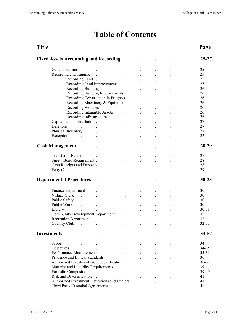# **Table of Contents**

| Title                                                               |                                                                                            |                                                                                                                                                                                            |                                   |                      |                      |                      |                      | Page      |
|---------------------------------------------------------------------|--------------------------------------------------------------------------------------------|--------------------------------------------------------------------------------------------------------------------------------------------------------------------------------------------|-----------------------------------|----------------------|----------------------|----------------------|----------------------|-----------|
| <b>Fixed Assets Accounting and Recording</b>                        |                                                                                            |                                                                                                                                                                                            |                                   |                      |                      |                      |                      | $25 - 27$ |
| General Definition                                                  |                                                                                            |                                                                                                                                                                                            |                                   |                      |                      |                      |                      | 25        |
| Recording and Tagging                                               | $\sim 10$                                                                                  | $\ddot{\phantom{a}}$                                                                                                                                                                       | $\ddot{\phantom{0}}$              |                      |                      |                      |                      | 25        |
| Recording Land.                                                     |                                                                                            | $\mathbf{L}^{\text{max}}$                                                                                                                                                                  | $\ddot{\phantom{a}}$              |                      |                      |                      |                      | 25        |
| Recording Land Improvements                                         |                                                                                            |                                                                                                                                                                                            | $\sim 100$ km s $^{-1}$           |                      |                      |                      |                      | 25        |
| Recording Buildings                                                 |                                                                                            | $\mathcal{L}^{\mathcal{L}}(\mathcal{L}^{\mathcal{L}}(\mathcal{L}^{\mathcal{L}}(\mathcal{L}^{\mathcal{L}}(\mathcal{L}^{\mathcal{L}}(\mathcal{L}^{\mathcal{L}}(\mathcal{L}^{\mathcal{L}})))$ |                                   |                      |                      |                      |                      | 26        |
| Recording Building Improvements.                                    |                                                                                            |                                                                                                                                                                                            |                                   |                      |                      |                      |                      | 26        |
| Recording Construction in Progress                                  |                                                                                            |                                                                                                                                                                                            |                                   |                      |                      |                      |                      | 26        |
| Recording Machinery & Equipment                                     |                                                                                            |                                                                                                                                                                                            |                                   |                      |                      |                      |                      | 26        |
|                                                                     |                                                                                            |                                                                                                                                                                                            |                                   | $\mathbf{r}$         |                      |                      |                      |           |
| Recording Vehicles                                                  |                                                                                            | $\mathcal{L}^{\text{max}}(\mathcal{L}^{\text{max}})$ , where $\mathcal{L}^{\text{max}}(\mathcal{L}^{\text{max}})$                                                                          |                                   | $\ddot{\phantom{a}}$ |                      |                      |                      | 26        |
| Recording Intangible Assets                                         |                                                                                            |                                                                                                                                                                                            | <b>Contract Contract Contract</b> |                      |                      |                      |                      | 26        |
| Recording Infrastructure .                                          |                                                                                            |                                                                                                                                                                                            | <b>Contract Contract Contract</b> | $\ddot{\phantom{a}}$ | $\ddot{\phantom{a}}$ | $\ddot{\phantom{a}}$ |                      | 26        |
| Capitalization Threshold.                                           |                                                                                            | and the company                                                                                                                                                                            | <b>All Contracts</b>              | $\mathcal{L}^{\pm}$  | $\ddot{\phantom{a}}$ | $\ddot{\phantom{a}}$ | $\ddot{\phantom{0}}$ | 27        |
| Deletions                                                           | $\ddot{\phantom{a}}$                                                                       | $\ddot{\phantom{a}}$                                                                                                                                                                       | $\blacksquare$                    | $\ddot{\phantom{a}}$ | $\ddot{\phantom{a}}$ | $\ddot{\phantom{a}}$ |                      | 27        |
| Physical Inventory                                                  |                                                                                            |                                                                                                                                                                                            |                                   |                      | $\ddot{\phantom{a}}$ |                      |                      | 27        |
| Exception<br>$\ddot{\phantom{a}}$                                   |                                                                                            |                                                                                                                                                                                            |                                   |                      |                      |                      |                      | 27        |
|                                                                     |                                                                                            |                                                                                                                                                                                            |                                   |                      |                      |                      |                      |           |
| <b>Cash Management</b><br>$\sim$                                    |                                                                                            |                                                                                                                                                                                            |                                   |                      |                      |                      |                      | 28-29     |
|                                                                     |                                                                                            |                                                                                                                                                                                            |                                   |                      |                      |                      |                      |           |
| Transfer of Funds                                                   |                                                                                            |                                                                                                                                                                                            |                                   |                      |                      |                      |                      | 28        |
| Surety Bond Requirement.                                            |                                                                                            |                                                                                                                                                                                            |                                   |                      |                      |                      |                      | 28        |
| Cash Receipts and Deposits                                          |                                                                                            |                                                                                                                                                                                            |                                   |                      |                      |                      |                      | 28        |
|                                                                     |                                                                                            |                                                                                                                                                                                            |                                   |                      |                      |                      |                      | 29        |
| <b>Departmental Procedures</b>                                      |                                                                                            |                                                                                                                                                                                            |                                   |                      |                      |                      |                      | $30 - 33$ |
|                                                                     |                                                                                            |                                                                                                                                                                                            |                                   |                      |                      |                      |                      |           |
| Finance Department                                                  |                                                                                            |                                                                                                                                                                                            |                                   |                      |                      |                      |                      | 30        |
| Village Clerk<br>$\ddot{\phantom{a}}$                               |                                                                                            |                                                                                                                                                                                            |                                   |                      |                      |                      |                      | 30        |
| Public Safety<br>$\ddot{\phantom{a}}$                               |                                                                                            |                                                                                                                                                                                            | $\ddot{\phantom{0}}$              |                      | $\ddot{\phantom{0}}$ |                      |                      | 30        |
| Public Works<br>$\cdot$                                             | $\ddot{\phantom{a}}$                                                                       | $\ddot{\phantom{a}}$                                                                                                                                                                       |                                   |                      |                      |                      |                      | 30        |
| Library.                                                            |                                                                                            | $\mathbf{L}$                                                                                                                                                                               |                                   |                      |                      |                      |                      | $30 - 31$ |
| <b>Community Development Department</b>                             |                                                                                            |                                                                                                                                                                                            | $\ddot{\phantom{0}}$              |                      |                      |                      |                      | 31        |
| <b>Recreation Department</b>                                        | $\mathbf{r}$ . The state $\mathbf{r}$                                                      |                                                                                                                                                                                            | $\ddot{\phantom{a}}$              |                      |                      |                      |                      | 32        |
| Country Club<br>$\sim$                                              | $\ddot{\phantom{a}}$                                                                       | $\ddot{\phantom{a}}$                                                                                                                                                                       |                                   |                      |                      |                      |                      | 32-33     |
| <b>Investments</b>                                                  |                                                                                            |                                                                                                                                                                                            |                                   |                      |                      |                      |                      | 34-57     |
| Scope<br>$\ddot{\phantom{1}}$                                       |                                                                                            |                                                                                                                                                                                            |                                   |                      |                      |                      |                      | 34        |
| Objectives<br>$\mathbf{L}$ and $\mathbf{L}$                         |                                                                                            |                                                                                                                                                                                            |                                   |                      |                      |                      |                      | 34-35     |
|                                                                     | $\sim$                                                                                     | $\mathbf{r}$                                                                                                                                                                               |                                   |                      |                      |                      |                      |           |
| <b>Performance Measurements</b>                                     |                                                                                            | $\mathbf{r}$                                                                                                                                                                               |                                   |                      |                      |                      |                      | $35 - 36$ |
| Prudence and Ethical Standards                                      |                                                                                            | $\mathbf{r}$                                                                                                                                                                               |                                   |                      |                      |                      |                      | 36        |
| Authorized Investments & Prequalification.                          |                                                                                            |                                                                                                                                                                                            |                                   |                      |                      |                      |                      | 36-38     |
| Maturity and Liquidity Requirements                                 |                                                                                            |                                                                                                                                                                                            |                                   |                      |                      |                      |                      | 39        |
| Portfolio Composition                                               | $\mathcal{A}(\mathcal{A})$ and $\mathcal{A}(\mathcal{A})$ are $\mathcal{A}(\mathcal{A})$ . |                                                                                                                                                                                            |                                   |                      |                      |                      |                      | 39-40     |
| Risk and Diversification.                                           |                                                                                            |                                                                                                                                                                                            | <b>Contract</b>                   |                      |                      |                      |                      | 41        |
| Authorized Investment Institutions and Dealers                      |                                                                                            |                                                                                                                                                                                            |                                   |                      |                      |                      |                      | 41        |
| Third Party Custodial Agreements . Third Party Custodial Agreements |                                                                                            |                                                                                                                                                                                            |                                   |                      |                      |                      |                      | 41        |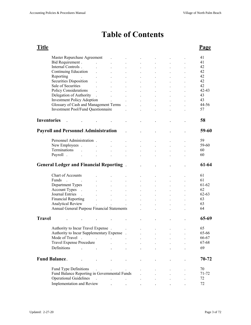# **Table of Contents**

| Title              |                                                                  |                      |                                    |                      |                               |                      |                      | Page      |
|--------------------|------------------------------------------------------------------|----------------------|------------------------------------|----------------------|-------------------------------|----------------------|----------------------|-----------|
|                    | Master Repurchase Agreement                                      |                      | $\ddot{\phantom{0}}$               |                      |                               |                      |                      | 41        |
|                    | Bid Requirement.                                                 | $\ddot{\phantom{a}}$ | $\ddot{\phantom{0}}$               |                      |                               |                      |                      | 41        |
|                    | Internal Controls.                                               |                      |                                    | $\ddot{\phantom{a}}$ |                               |                      |                      | 42        |
|                    | Continuing Education                                             |                      |                                    |                      |                               |                      |                      | 42        |
|                    | Reporting<br>$\sim 10^{10}$ km s $^{-1}$                         |                      |                                    | $\ddot{\phantom{a}}$ | $\ddot{\phantom{a}}$          | $\ddot{\phantom{a}}$ | $\ddot{\phantom{a}}$ | 42        |
|                    | Securities Disposition                                           |                      | $\ddot{\phantom{0}}$               | $\ddot{\phantom{a}}$ | $\mathbf{L}^{\mathbf{r}}$     | $\ddot{\phantom{a}}$ | $\ddot{\phantom{a}}$ | 42        |
|                    | Sale of Securities                                               | $\ddot{\phantom{a}}$ | $\mathbf{r}$                       | $\ddot{\phantom{0}}$ | $\ddot{\phantom{0}}$          | $\ddot{\phantom{0}}$ | $\ddot{\phantom{a}}$ | 42        |
|                    | Policy Considerations                                            | $\ddot{\phantom{a}}$ | $\mathcal{L}^{\text{max}}$         | $\sim$               | $\mathbf{L}$                  | $\cdot$              | $\mathbf{A}$         | $42 - 43$ |
|                    | Delegation of Authority .                                        |                      | $\Delta \sim 10^{11}$ km s $^{-1}$ |                      |                               | $\ddot{\phantom{a}}$ |                      | 43        |
|                    | <b>Investment Policy Adoption</b>                                |                      | and the company of the             |                      | $\mathbf{r}$ and $\mathbf{r}$ |                      | $\sim$               | 43        |
|                    | Glossary of Cash and Management Terms .                          |                      |                                    |                      | $\ddot{\phantom{a}}$          | $\ddot{\phantom{a}}$ | $\ddot{\phantom{a}}$ | 44-56     |
|                    | Investment Pool/Fund Questionnaire                               |                      |                                    | $\ddot{\phantom{a}}$ | $\ddot{\phantom{a}}$          | $\ddot{\phantom{a}}$ | $\cdot$              | 57        |
|                    |                                                                  |                      |                                    |                      |                               |                      |                      |           |
| <b>Inventories</b> |                                                                  |                      |                                    |                      |                               |                      |                      | 58        |
|                    |                                                                  |                      |                                    |                      |                               |                      |                      |           |
|                    | <b>Payroll and Personnel Administration</b>                      |                      |                                    |                      |                               |                      |                      | 59-60     |
|                    |                                                                  |                      |                                    |                      |                               |                      |                      |           |
|                    | Personnel Administration.                                        |                      |                                    |                      |                               |                      |                      | 59        |
|                    | New Employees.                                                   | $\sim$               | $\ddot{\phantom{a}}$               |                      | $\ddot{\phantom{a}}$          |                      | $\ddot{\phantom{a}}$ | 59-60     |
|                    | Terminations<br>$\sim$                                           |                      | $\ddot{\phantom{a}}$               |                      |                               |                      |                      | 60        |
|                    | Payroll.                                                         |                      | $\ddot{\phantom{0}}$               | $\cdot$              |                               |                      |                      | 60        |
|                    |                                                                  |                      |                                    |                      |                               |                      |                      |           |
|                    | <b>General Ledger and Financial Reporting.</b>                   |                      |                                    |                      |                               |                      |                      | $61-64$   |
|                    |                                                                  |                      |                                    |                      |                               |                      |                      |           |
|                    | Chart of Accounts                                                |                      |                                    |                      |                               |                      |                      | 61        |
|                    | Funds<br>$\mathbb{R}^2$                                          |                      |                                    |                      |                               |                      |                      | 61        |
|                    | Department Types                                                 |                      |                                    |                      |                               |                      |                      | 61-62     |
|                    | Account Types.                                                   |                      | $\ddot{\phantom{a}}$               | $\ddot{\phantom{a}}$ | $\ddot{\phantom{a}}$          | $\ddot{\phantom{a}}$ | $\ddot{\phantom{a}}$ | 62        |
|                    | Journal Entries .                                                |                      | $\ddot{\phantom{a}}$               | $\cdot$              | $\ddot{\phantom{0}}$          | $\ddot{\phantom{a}}$ |                      | $62 - 63$ |
|                    | <b>Financial Reporting</b>                                       | $\ddot{\phantom{a}}$ | $\mathbf{L}^{\text{max}}$          | $\sim$               | $\mathbf{L}$                  |                      | $\ddot{\phantom{a}}$ | 63        |
|                    | Analytical Review<br>Annual General Purpose Financial Statements | $\ddot{\phantom{a}}$ | $\mathbf{L}^{\text{max}}$          | $\sim 100$           | $\mathbf{L}$                  | $\mathbf{r}$         | $\mathbf{r}$         | 63<br>64  |
|                    |                                                                  |                      |                                    |                      | <b>Contract Contract</b>      | $\ddot{\phantom{a}}$ |                      |           |
| <b>Travel</b>      |                                                                  |                      |                                    |                      |                               |                      |                      | 65-69     |
|                    | Authority to Incur Travel Expense                                |                      |                                    |                      |                               |                      |                      | 65        |
|                    | Authority to Incur Supplementary Expense.                        |                      |                                    |                      |                               |                      |                      | 65-66     |
|                    | Mode of Travel<br>$\mathbb{R}^2$                                 |                      | $\ddot{\phantom{0}}$               |                      |                               |                      |                      | 66-67     |
|                    | Travel Expense Procedure                                         |                      |                                    |                      |                               |                      |                      | 67-68     |
|                    | Definitions                                                      |                      |                                    |                      |                               |                      |                      | 69        |
|                    | $\mathbf{L}$ and $\mathbf{L}$                                    |                      |                                    |                      |                               |                      |                      |           |
|                    | <b>Fund Balance.</b>                                             |                      |                                    |                      |                               |                      |                      | 70-72     |
|                    |                                                                  |                      |                                    |                      |                               |                      |                      |           |
|                    | Fund Type Definitions                                            |                      |                                    |                      |                               |                      |                      | 70        |
|                    | Fund Balance Reporting in Governmental Funds                     |                      |                                    |                      |                               |                      |                      | 71-72     |
|                    | <b>Operational Guidelines</b>                                    | $\sim$               |                                    |                      |                               |                      |                      | 72        |
|                    | Implementation and Review                                        |                      |                                    | $\bullet$            |                               |                      |                      | 72        |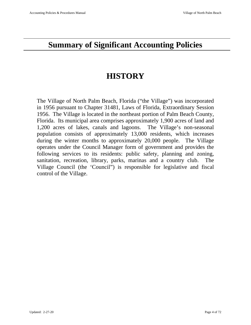# **Summary of Significant Accounting Policies**

# **HISTORY**

The Village of North Palm Beach, Florida ("the Village") was incorporated in 1956 pursuant to Chapter 31481, Laws of Florida, Extraordinary Session 1956. The Village is located in the northeast portion of Palm Beach County, Florida. Its municipal area comprises approximately 1,900 acres of land and 1,200 acres of lakes, canals and lagoons. The Village's non-seasonal population consists of approximately 13,000 residents, which increases during the winter months to approximately 20,000 people. The Village operates under the Council Manager form of government and provides the following services to its residents: public safety, planning and zoning, sanitation, recreation, library, parks, marinas and a country club. The Village Council (the 'Council") is responsible for legislative and fiscal control of the Village.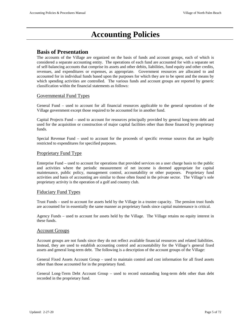# **Accounting Policies**

### **Basis of Presentation**

The accounts of the Village are organized on the basis of funds and account groups, each of which is considered a separate accounting entity. The operations of each fund are accounted for with a separate set of self-balancing accounts that comprise its assets and other debits, liabilities, fund equity and other credits, revenues, and expenditures or expenses, as appropriate. Government resources are allocated to and accounted for in individual funds based upon the purposes for which they are to be spent and the means by which spending activities are controlled. The various funds and account groups are reported by generic classification within the financial statements as follows:

#### Governmental Fund Types

General Fund – used to account for all financial resources applicable to the general operations of the Village government except those required to be accounted for in another fund.

Capital Projects Fund – used to account for resources principally provided by general long-term debt and used for the acquisition or construction of major capital facilities other than those financed by proprietary funds.

Special Revenue Fund – used to account for the proceeds of specific revenue sources that are legally restricted to expenditures for specified purposes.

#### Proprietary Fund Type

Enterprise Fund – used to account for operations that provided services on a user charge basis to the public and activities where the periodic measurement of net income is deemed appropriate for capital maintenance, public policy, management control, accountability or other purposes. Proprietary fund activities and basis of accounting are similar to those often found in the private sector. The Village's sole proprietary activity is the operation of a golf and country club.

#### Fiduciary Fund Types

Trust Funds – used to account for assets held by the Village in a trustee capacity. The pension trust funds are accounted for in essentially the same manner as proprietary funds since capital maintenance is critical.

Agency Funds – used to account for assets held by the Village. The Village retains no equity interest in these funds.

#### Account Groups

Account groups are not funds since they do not reflect available financial resources and related liabilities. Instead, they are used to establish accounting control and accountability for the Village's general fixed assets and general long-term debt. The following is a description of the account groups of the Village:

General Fixed Assets Account Group – used to maintain control and cost information for all fixed assets other than those accounted for in the proprietary fund.

General Long-Term Debt Account Group – used to record outstanding long-term debt other than debt recorded in the proprietary fund.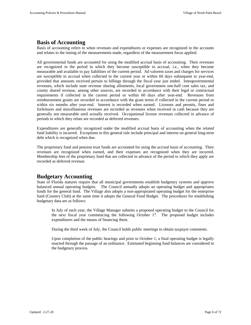### **Basis of Accounting**

Basis of accounting refers to when revenues and expenditures or expenses are recognized in the accounts and relates to the timing of the measurements made, regardless of the measurement focus applied.

All governmental funds are accounted for using the modified accrual basis of accounting. Their revenues are recognized in the period in which they become susceptible to accrual, i.e., when they become measurable and available to pay liabilities of the current period. Ad valorem taxes and charges for services are susceptible to accrual when collected in the current year or within 60 days subsequent to year-end, provided that amounts received pertain to billings through the fiscal year just ended. Intergovernmental revenues, which include state revenue sharing allotments, local government one-half cent sales tax, and county shared revenue, among other sources, are recorded in accordance with their legal or contractual requirements if collected in the current period or within 60 days after year-end. Revenues from reimbursement grants are recorded in accordance with the grant terms if collected in the current period or within six months after year-end. Interest is recorded when earned. Licenses and permits, fines and forfeitures and miscellaneous revenues are recorded as revenues when received in cash because they are generally not measurable until actually received. Occupational license revenues collected in advance of periods to which they relate are recorded as deferred revenues.

Expenditures are generally recognized under the modified accrual basis of accounting when the related fund liability is incurred. Exceptions to this general rule include principal and interest on general long-term debt which is recognized when due.

The proprietary fund and pension trust funds are accounted for using the accrual basis of accounting. Their revenues are recognized when earned, and their expenses are recognized when they are incurred. Membership fees of the proprietary fund that are collected in advance of the period to which they apply are recorded as deferred revenue.

### **Budgetary Accounting**

State of Florida statures require that all municipal governments establish budgetary systems and approve balanced annual operating budgets. The Council annually adopts an operating budget and appropriates funds for the general fund. The Village also adopts a non-appropriated operating budget for the enterprise fund (Country Club) at the same time it adopts the General Fund Budget. The procedures for establishing budgetary data are as follows:

In July of each year, the Village Manager submits a proposed operating budget to the Council for the next fiscal year commencing the following October  $1<sup>st</sup>$ . The proposed budget includes expenditures and the means of financing them.

During the third week of July, the Council holds public meetings to obtain taxpayer comments.

Upon completion of the public hearings and prior to October 1, a final operating budget is legally enacted through the passage of an ordinance. Estimated beginning fund balances are considered in the budgetary process.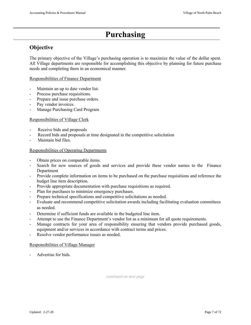# **Purchasing**

# **Objective**

The primary objective of the Village's purchasing operation is to maximize the value of the dollar spent. All Village departments are responsible for accomplishing this objective by planning for future purchase needs and completing them in an economical manner.

#### Responsibilities of Finance Department

- Maintain an up to date vendor list.
- Process purchase requisitions.
- Prepare and issue purchase orders.
- Pay vendor invoices.
- Manage Purchasing Card Program

#### Responsibilities of Village Clerk

- Receive bids and proposals
- Record bids and proposals at time designated in the competitive solicitation
- Maintain bid files.

#### Responsibilities of Operating Departments

- Obtain prices on comparable items.
- Search for new sources of goods and services and provide these vendor names to the Finance Department
- Provide complete information on items to be purchased on the purchase requisitions and reference the budget line item description.
- Provide appropriate documentation with purchase requisitions as required.
- Plan for purchases to minimize emergency purchases.
- Prepare technical specifications and competitive solicitations as needed.
- Evaluate and recommend competitive solicitation awards including facilitating evaluation committees as needed.
- Determine if sufficient funds are available in the budgeted line item.
- Attempt to use the Finance Department's vendor list as a minimum for all quote requirements.
- Manage contracts for your area of responsibility ensuring that vendors provide purchased goods, equipment and/or services in accordance with contract terms and prices.
- Resolve vendor performance issues as needed.

#### Responsibilities of Village Manager

Advertise for bids.

*continued on next page*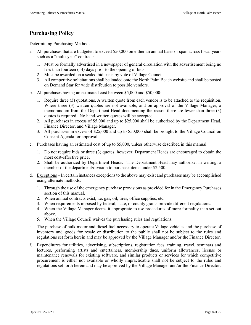# **Purchasing Policy**

Determining Purchasing Methods:

- a. All purchases that are budgeted to exceed \$50,000 on either an annual basis or span across fiscal years such as a "multi-year" contract:
	- 1. Must be formally advertised in a newspaper of general circulation with the advertisement being no less than fourteen (14) days prior to the opening of bids.
	- 2. Must be awarded on a sealed bid basis by vote of Village Council.
	- 3. All competitive solicitations shall be loaded onto the North Palm Beach website and shall be posted on Demand Star for wide distribution to possible vendors.
- b. All purchases having an estimated cost between \$5,000 and \$50,000:
	- 1. Require three (3) quotations. A written quote from each vendor is to be attached to the requisition. Where three (3) written quotes are not available, and on approval of the Village Manager, a memorandum from the Department Head documenting the reason there are fewer than three (3) quotes is required. No hand-written quotes will be accepted.
	- 2. All purchases in excess of \$5,000 and up to \$25,000 shall be authorized by the Department Head, Finance Director, and Village Manager.
	- 3. All purchases in excess of \$25,000 and up to \$50,000 shall be brought to the Village Council on Consent Agenda for approval.
- c. Purchases having an estimated cost of up to \$5,000, unless otherwise described in this manual:
	- 1. Do not require bids or three (3) quotes; however, Department Heads are encouraged to obtain the most cost-effective price.
	- 2. Shall be authorized by Department Heads. The Department Head may authorize, in writing, a member of the department/division to purchase items under \$2,500.
- d. Exceptions In certain instances exceptions to the above may exist and purchases may be accomplished using alternate methods:
	- 1. Through the use of the emergency purchase provisions as provided for in the Emergency Purchases section of this manual.
	- 2. When annual contracts exist, i.e. gas, oil, tires, office supplies, etc.
	- 3. When requirements imposed by federal, state, or county grants provide different regulations.
	- 4. When the Village Manager deems it appropriate to use procedures of more formality than set out above.
	- 5. When the Village Council waives the purchasing rules and regulations.
- e. The purchase of bulk motor and diesel fuel necessary to operate Village vehicles and the purchase of inventory and goods for resale or distribution to the public shall not be subject to the rules and regulations set forth herein and may be approved by the Village Manager and/or the Finance Director.
- f. Expenditures for utilities, advertising, subscriptions, registration fees, training, travel, seminars and lectures, performing artists and entertainers, membership dues, uniform allowances, license or maintenance renewals for existing software, and similar products or services for which competitive procurement is either not available or wholly impracticable shall not be subject to the rules and regulations set forth herein and may be approved by the Village Manager and/or the Finance Director.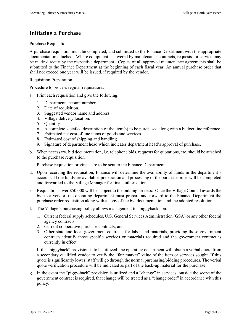# **Initiating a Purchase**

#### Purchase Requisition

A purchase requisition must be completed, and submitted to the Finance Department with the appropriate documentation attached. Where equipment is covered by maintenance contracts, requests for service may be made directly by the respective department. Copies of all approved maintenance agreements shall be submitted to the Finance Department at the beginning of each fiscal year. An annual purchase order that shall not exceed one year will be issued, if required by the vendor.

#### Requisition Preparation

Procedure to process regular requisitions:

- a. Print each requisition and give the following:
	- 1. Department account number.
	- 2. Date of requisition.
	- 3. Suggested vendor name and address.
	- 4. Village delivery location.
	- 5. Quantity.
	- 6. A complete, detailed description of the item(s) to be purchased along with a budget line reference.
	- 7. Estimated net cost of line items of goods and services.
	- 8. Estimated cost of shipping and handling.
	- 9. Signature of department head which indicates department head's approval of purchase.
- b. When necessary, bid documentation, i.e. telephone bids, requests for quotations, etc. should be attached to the purchase requisition.
- c. Purchase requisition originals are to be sent to the Finance Department.
- d. Upon receiving the requisition, Finance will determine the availability of funds in the department's account. If the funds are available, preparation and processing of the purchase order will be completed and forwarded to the Village Manager for final authorization.
- e. Requisitions over \$50,000 will be subject to the bidding process. Once the Village Council awards the bid to a vendor, the operating department must prepare and forward to the Finance Department the purchase order requisition along with a copy of the bid documentation and the adopted resolution.
- f. The Village's purchasing policy allows management to "piggyback" on:
	- 1. Current federal supply schedules, U.S. General Services Administration (GSA) or any other federal agency contracts;
	- 2. Current cooperative purchase contracts; and
	- 3. Other state and local government contracts for labor and materials, providing those government contracts identify those specific services or materials required and the government contract is currently in effect.

If the "piggyback" provision is to be utilized, the operating department will obtain a verbal quote from a secondary qualified vendor to verify the "fair market" value of the item or services sought. If this quote is significantly lower, staff will go through the normal purchasing/bidding procedures. The verbal quote verification procedure will be indicated as part of the back-up material for the purchase.

g. In the event the "piggy-back" provision is utilized and a "change" in services, outside the scope of the government contract is required, that change will be treated as a "change order" in accordance with this policy.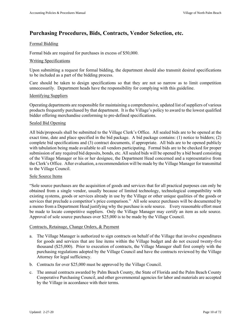# **Purchasing Procedures, Bids, Contracts, Vendor Selection, etc.**

#### Formal Bidding

Formal bids are required for purchases in excess of \$50,000.

#### Writing Specifications

Upon submitting a request for formal bidding, the department should also transmit desired specifications to be included as a part of the bidding process.

Care should be taken to design specifications so that they are not so narrow as to limit competition unnecessarily. Department heads have the responsibility for complying with this guideline.

#### Identifying Suppliers

Operating departments are responsible for maintaining a comprehensive, updated list of suppliers of various products frequently purchased by that department. It is the Village's policy to award to the lowest qualified bidder offering merchandise conforming to pre-defined specifications.

#### Sealed Bid Opening

All bids/proposals shall be submitted to the Village Clerk's Office. All sealed bids are to be opened at the exact time, date and place specified in the bid package. A bid package contains: (1) notice to bidders; (2) complete bid specifications and (3) contract documents, if appropriate. All bids are to be opened publicly with tabulation being made available to all vendors participating. Formal bids are to be checked for proper submission of any required bid deposits, bonds, etc. All sealed bids will be opened by a bid board consisting of the Village Manager or his or her designee, the Department Head concerned and a representative from the Clerk's Office. After evaluation, a recommendation will be made by the Village Manager for transmittal to the Village Council.

#### Sole Source Items

"Sole source purchases are the acquisition of goods and services that for all practical purposes can only be obtained from a single vendor, usually because of limited technology, technological compatibility with existing systems, goods or services already in use by the Village or other unique qualities of the goods or services that preclude a competitor's price comparison." All sole source purchases will be documented by a memo from a Department Head justifying why the purchase is sole source. Every reasonable effort must be made to locate competitive suppliers. Only the Village Manager may certify an item as sole source. Approval of sole source purchases over \$25,000 is to be made by the Village Council.

#### Contracts, Retainage, Change Orders, & Payment

- a. The Village Manager is authorized to sign contracts on behalf of the Village that involve expenditures for goods and services that are line items within the Village budget and do not exceed twenty-five thousand (\$25,000). Prior to execution of contracts, the Village Manager shall first comply with the purchasing regulations adopted by the Village Council and have the contracts reviewed by the Village Attorney for legal sufficiency.
- b. Contracts for over \$25,000 must be approved by the Village Council.
- c. The annual contracts awarded by Palm Beach County, the State of Florida and the Palm Beach County Cooperative Purchasing Council, and other governmental agencies for labor and materials are accepted by the Village in accordance with their terms.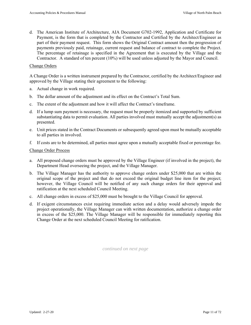d. The American Institute of Architecture, AIA Document G702-1992, Application and Certificate for Payment, is the form that is completed by the Contractor and Certified by the Architect/Engineer as part of their payment request. This form shows the Original Contract amount then the progression of payments previously paid, retainage, current request and balance of contract to complete the Project. The percentage of retainage is specified in the Agreement that is executed by the Village and the Contractor. A standard of ten percent (10%) will be used unless adjusted by the Mayor and Council.

#### Change Orders

A Change Order is a written instrument prepared by the Contractor, certified by the Architect/Engineer and approved by the Village stating their agreement to the following:

- a. Actual change in work required.
- b. The dollar amount of the adjustment and its effect on the Contract's Total Sum.
- c. The extent of the adjustment and how it will affect the Contract's timeframe.
- d. If a lump sum payment is necessary, the request must be properly itemized and supported by sufficient substantiating data to permit evaluation. All parties involved must mutually accept the adjustment(s) as presented.
- e. Unit prices stated in the Contract Documents or subsequently agreed upon must be mutually acceptable to all parties in involved.
- f. If costs are to be determined, all parties must agree upon a mutually acceptable fixed or percentage fee.

#### Change Order Process

- a. All proposed change orders must be approved by the Village Engineer (if involved in the project), the Department Head overseeing the project, and the Village Manager.
- b. The Village Manager has the authority to approve change orders under \$25,000 that are within the original scope of the project and that do not exceed the original budget line item for the project; however, the Village Council will be notified of any such change orders for their approval and ratification at the next scheduled Council Meeting.
- c. All change orders in excess of \$25,000 must be brought to the Village Council for approval.
- d. If exigent circumstances exist requiring immediate action and a delay would adversely impede the project operationally, the Village Manager can with written documentation, authorize a change order in excess of the \$25,000. The Village Manager will be responsible for immediately reporting this Change Order at the next scheduled Council Meeting for ratification.

*continued on next page*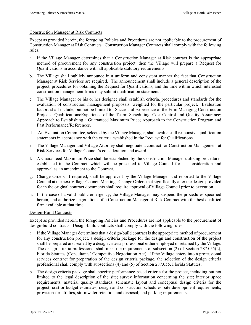#### Construction Manager at Risk Contracts

Except as provided herein, the foregoing Policies and Procedures are not applicable to the procurement of Construction Manager at Risk Contracts. Construction Manager Contracts shall comply with the following rules:

- a. If the Village Manager determines that a Construction Manager at Risk contract is the appropriate method of procurement for any construction project, then the Village will prepare a Request for Qualifications in accordance with all applicable statutory requirements.
- b. The Village shall publicly announce in a uniform and consistent manner the fact that Construction Manager at Risk Services are required. The announcement shall include a general description of the project, procedures for obtaining the Request for Qualifications, and the time within which interested construction management firms may submit qualification statements.
- c. The Village Manager or his or her designee shall establish criteria, procedures and standards for the evaluation of construction management proposals, weighted for the particular project. Evaluation factors shall include, but not be limited to: Successful Experience of the Firm Managing Construction Projects; Qualifications/Experience of the Team; Scheduling, Cost Control and Quality Assurance; Approach to Establishing a Guaranteed Maximum Price; Approach to the Construction Program and Past Performance/References.
- d. An Evaluation Committee, selected by the Village Manager, shall evaluate all responsive qualification statements in accordance with the criteria established in the Request for Qualifications.
- e. The Village Manager and Village Attorney shall negotiate a contract for Construction Management at Risk Services for Village Council's consideration and award.
- f. A Guaranteed Maximum Price shall be established by the Construction Manager utilizing procedures established in the Contract, which will be presented to Village Council for its consideration and approval as an amendment to the Contract.
- g. Change Orders, if required, shall be approved by the Village Manager and reported to the Village Council at the next Village Council Meeting. Change Orders that significantly alter the design provided for in the original contract documents shall require approval of Village Council prior to execution.
- h. In the case of a valid public emergency, the Village Manager may suspend the procedures specified herein, and authorize negotiations of a Construction Manager at Risk Contract with the best qualified firm available at that time.

#### Design-Build Contracts

Except as provided herein, the foregoing Policies and Procedures are not applicable to the procurement of design-build contracts. Design-build contracts shall comply with the following rules:

- a. If the Village Manager determines that a design-build contract is the appropriate method of procurement for any construction project, a design criteria package for the design and construction of the project shall be prepared and sealed by a design criteria professional either employed or retained by the Village. The design criteria professional shall meet the requirements of subsection (2) of Section 287.055(2), Florida Statutes (Consultants' Competitive Negotiation Act). If the Village enters into a professional services contract for preparation of the design criteria package, the selection of the design criteria professional shall comply with subsections (4) and (5) of Section 287.055, Florida Statutes.
- b. The design criteria package shall specify performance-based criteria for the project, including but not limited to the legal description of the site; survey information concerning the site; interior space requirements; material quality standards; schematic layout and conceptual design criteria for the project; cost or budget estimates; design and construction schedules; site development requirements; provision for utilities, stormwater retention and disposal; and parking requirements.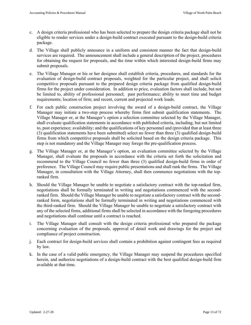- c. A design criteria professional who has been selected to prepare the design criteria package shall not be eligible to render services under a design-build contract executed pursuant to the design-build criteria package.
- d. The Village shall publicly announce in a uniform and consistent manner the fact that design-build services are required. The announcement shall include a general description of the project, procedures for obtaining the request for proposals, and the time within which interested design-build firms may submit proposals.
- e. The Village Manager or his or her designee shall establish criteria, procedures, and standards for the evaluation of design-build contract proposals, weighted for the particular project, and shall solicit competitive proposals pursuant to the prepared design criteria package from qualified design-build firms for the project under consideration. In addition to price, evaluation factors shall include, but not be limited to, ability of professional personnel; past performance; ability to meet time and budget requirements; location of firm; and recent, current and projected work loads.
- f. For each public construction project involving the award of a design-build contract, the Village Manager may initiate a two-step process whereby firms first submit qualification statements. The Village Manager or, at the Manager's option a selection committee selected by the Village Manager, shall evaluate qualification statements in accordance with published criteria, including, but not limited to, past experience; availability; and the qualifications of key personnel and (provided that at least three (3) qualification statements have been submitted) select no fewer than three (3) qualified design-build firms from which competitive proposals shall be solicited based on the design criteria package. This step is not mandatory and the Village Manager may forego the pre-qualification process.
- g. The Village Manager or, at the Manager's option, an evaluation committee selected by the Village Manager, shall evaluate the proposals in accordance with the criteria set forth the solicitation and recommend to the Village Council no fewer than three (3) qualified design-build firms in order of preference. The Village Council may require public presentations and shall rank the firms. The Village Manager, in consultation with the Village Attorney, shall then commence negotiations with the topranked firm.
- h. Should the Village Manager be unable to negotiate a satisfactory contract with the top-ranked firm, negotiations shall be formally terminated in writing and negotiations commenced with the secondranked firm. Should the Village Manager be unable to negotiate a satisfactory contract with the secondranked form, negotiations shall be formally terminated in writing and negotiations commenced with the third-ranked firm. Should the Village Manager be unable to negotiate a satisfactory contract with any of the selected firms, additional firms shall be selected in accordance with the foregoing procedures and negotiations shall continue until a contract is reached.
- i. The Village Manager shall consult with the design criteria professional who prepared the package concerning evaluation of the proposals, approval of detail work and drawings for the project and compliance of project construction.
- j. Each contract for design-build services shall contain a prohibition against contingent fees as required by law.
- k. In the case of a valid public emergency, the Village Manager may suspend the procedures specified herein, and authorize negotiations of a design-build contract with the best qualified design-build firm available at that time.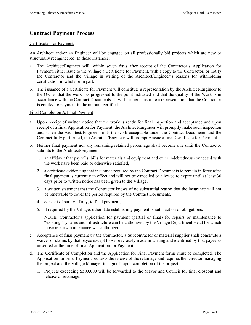# **Contract Payment Process**

#### Certificates for Payment

An Architect and/or an Engineer will be engaged on all professionally bid projects which are new or structurally reengineered. In those instances:

- a. The Architect/Engineer will, within seven days after receipt of the Contractor's Application for Payment, either issue to the Village a Certificate for Payment, with a copy to the Contractor, or notify the Contractor and the Village in writing of the Architect/Engineer's reasons for withholding certification in whole or in part.
- b. The issuance of a Certificate for Payment will constitute a representation by the Architect/Engineer to the Owner that the work has progressed to the point indicated and that the quality of the Work is in accordance with the Contract Documents. It will further constitute a representation that the Contractor is entitled to payment in the amount certified.

#### Final Completion & Final Payment

- a. Upon receipt of written notice that the work is ready for final inspection and acceptance and upon receipt of a final Application for Payment, the Architect/Engineer will promptly make such inspection and, when the Architect/Engineer finds the work acceptable under the Contract Documents and the Contract fully performed, the Architect/Engineer will promptly issue a final Certificate for Payment.
- b. Neither final payment nor any remaining retained percentage shall become due until the Contractor submits to the Architect/Engineer:
	- 1. an affidavit that payrolls, bills for materials and equipment and other indebtedness connected with the work have been paid or otherwise satisfied,
	- 2. a certificate evidencing that insurance required by the Contract Documents to remain in force after final payment is currently in effect and will not be cancelled or allowed to expire until at least 30 days prior to written notice has been given to the Village,
	- 3. a written statement that the Contractor knows of no substantial reason that the insurance will not be renewable to cover the period required by the Contract Documents,
	- 4. consent of surety, if any, to final payment,
	- 5. if required by the Village, other data establishing payment or satisfaction of obligations.

NOTE: Contractor's application for payment (partial or final) for repairs or maintenance to "existing" systems and infrastructure can be authorized by the Village Department Head for which those repairs/maintenance was authorized.

- c. Acceptance of final payment by the Contractor, a Subcontractor or material supplier shall constitute a waiver of claims by that payee except those previously made in writing and identified by that payee as unsettled at the time of final Application for Payment.
- d. The Certificate of Completion and the Application for Final Payment forms must be completed. The Application for Final Payment requests the release of the retainage and requires the Director managing the project and the Village Manager to sign off upon completion of the project.
	- 1. Projects exceeding \$500,000 will be forwarded to the Mayor and Council for final closeout and release of retainage.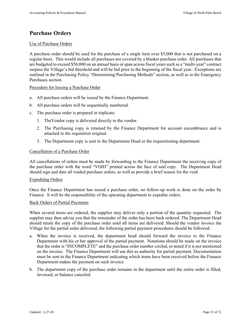### **Purchase Orders**

#### Use of Purchase Orders

A purchase order should be used for the purchase of a single item over \$5,000 that is not purchased on a regular basis. This would include all purchases not covered by a blanket purchase order. All purchases that are budgeted to exceed \$50,000 on an annual basis or span across fiscal years such as a "multi-year" contract surpass the Village's bid threshold and will be bid prior to the beginning of the fiscal year. Exceptions are outlined in the Purchasing Policy "Determining Purchasing Methods" section, as well as in the Emergency Purchases section.

#### Procedure for Issuing a Purchase Order

- a. All purchase orders will be issued by the Finance Department.
- b. All purchase orders will be sequentially numbered.
- c. The purchase order is prepared in triplicate.
	- 1. TheVendor copy is delivered directly to the vendor.
	- 2. The Purchasing copy is retained by the Finance Department for account encumbrance and is attached to the requisition original.
	- 3. The Department copy is sent to the Department Head or the requisitioning department.

#### Cancellation of a Purchase Order

All cancellations of orders must be made by forwarding to the Finance Department the receiving copy of the purchase order with the word "VOID" printed across the face of said copy. The Department Head should sign and date all voided purchase orders, as well as provide a brief reason for the void.

#### Expediting Orders

Once the Finance Department has issued a purchase order, no follow-up work is done on the order by Finance. It will be the responsibility of the operating department to expedite orders.

#### Back Orders of Partial Payments

When several items are ordered, the supplier may deliver only a portion of the quantity requested. The supplier may then advise you that the remainder of the order has been back ordered. The Department Head should retain the copy of the purchase order until all items are delivered. Should the vendor invoice the Village for the partial order delivered, the following partial payment procedures should be followed:

- a. When the invoice is received, the department head should forward the invoice to the Finance Department with his or her approval of the partial payment. Notations should be made on the invoice that the order is "INCOMPLETE" and the purchase order number circled, or noted if it is not mentioned on the invoice. The Finance Department will use this as authority for partial payment. Documentation must be sent to the Finance Department indicating which items have been received before the Finance Department makes the payment on such invoice.
- b. The department copy of the purchase order remains in the department until the entire order is filled, invoiced, or balance canceled.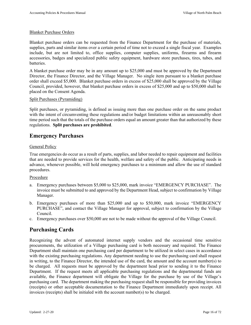#### Blanket Purchase Orders

Blanket purchase orders can be requested from the Finance Department for the purchase of materials, supplies, parts and similar items over a certain period of time not to exceed a single fiscal year. Examples include, but are not limited to, office supplies, computer supplies, uniforms, firearms and firearm accessories, badges and specialized public safety equipment, hardware store purchases, tires, tubes, and batteries.

A blanket purchase order may be in any amount up to \$25,000 and must be approved by the Department Director, the Finance Director, and the Village Manager. No single item pursuant to a blanket purchase order shall exceed \$5,000. Blanket purchase orders in excess of \$25,000 shall be approved by the Village Council, provided, however, that blanket purchase orders in excess of \$25,000 and up to \$50,000 shall be placed on the Consent Agenda.

#### Split Purchases (Pyramiding)

Split purchases, or pyramiding, is defined as issuing more than one purchase order on the same product with the intent of circumventing these regulations and/or budget limitations within an unreasonably short time period such that the totals of the purchase orders equal an amount greater than that authorized by these regulations. **Split purchases are prohibited**.

### **Emergency Purchases**

#### General Policy

True emergencies do occur as a result of parts, supplies, and labor needed to repair equipment and facilities that are needed to provide services for the health, welfare and safety of the public. Anticipating needs in advance, whenever possible, will hold emergency purchases to a minimum and allow the use of standard procedures.

#### Procedure

- a. Emergency purchases between \$5,000 to \$25,000, mark invoice "EMERGENCY PURCHASE". The invoice must be submitted to and approved by the Department Head, subject to confirmation by Village Manager.
- b. Emergency purchases of more than \$25,000 and up to \$50,000, mark invoice "EMERGENCY PURCHASE", and contact the Village Manager for approval, subject to confirmation by the Village Council.
- c. Emergency purchases over \$50,000 are not to be made without the approval of the Village Council.

### **Purchasing Cards**

Recognizing the advent of automated internet supply vendors and the occasional time sensitive procurements, the utilization of a Village purchasing card is both necessary and required. The Finance Department shall maintain one purchasing card per department to be utilized in select cases in accordance with the existing purchasing regulations. Any department needing to use the purchasing card shall request in writing, to the Finance Director, the intended use of the card, the amount and the account number(s) to be charged. All requests must be approved by the department head prior to sending it to the Finance Department. If the request meets all applicable purchasing regulations and the departmental funds are available, the Finance department will obligate the Village for the purchase by use of the Village's purchasing card. The department making the purchasing request shall be responsible for providing invoices (receipts) or other acceptable documentation to the Finance Department immediately upon receipt. All invoices (receipts) shall be initialed with the account number(s) to be charged.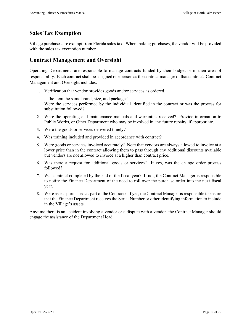### **Sales Tax Exemption**

Village purchases are exempt from Florida sales tax. When making purchases, the vendor will be provided with the sales tax exemption number.

### **Contract Management and Oversight**

Operating Departments are responsible to manage contracts funded by their budget or in their area of responsibility. Each contract shall be assigned one person as the contract manager of that contract. Contract Management and Oversight includes:

1. Verification that vendor provides goods and/or services as ordered.

Is the item the same brand, size, and package? Were the services performed by the individual identified in the contract or was the process for substitution followed?

- 2. Were the operating and maintenance manuals and warranties received? Provide information to Public Works, or Other Department who may be involved in any future repairs, if appropriate.
- 3. Were the goods or services delivered timely?
- 4. Was training included and provided in accordance with contract?
- 5. Were goods or services invoiced accurately? Note that vendors are always allowed to invoice at a lower price than in the contract allowing them to pass through any additional discounts available but vendors are not allowed to invoice at a higher than contract price.
- 6. Was there a request for additional goods or services? If yes, was the change order process followed?
- 7. Was contract completed by the end of the fiscal year? If not, the Contract Manager is responsible to notify the Finance Department of the need to roll over the purchase order into the next fiscal year.
- 8. Were assets purchased as part of the Contract? If yes, the Contract Manager is responsible to ensure that the Finance Department receives the Serial Number or other identifying information to include in the Village's assets.

Anytime there is an accident involving a vendor or a dispute with a vendor, the Contract Manager should engage the assistance of the Department Head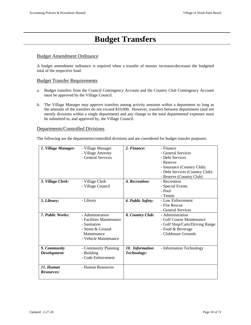# **Budget Transfers**

#### Budget Amendment Ordinance

A budget amendment ordinance is required when a transfer of monies increases/decreases the budgeted total of the respective fund.

#### Budget Transfer Requirements

- a. Budget transfers from the Council Contingency Account and the Country Club Contingency Account must be approved by the Village Council.
- b. The Village Manager may approve transfers among activity amounts within a department so long as the amounts of the transfers do not exceed \$10,000. However, transfers between departments (and not merely divisions within a single department) and any change to the total departmental expenses must be submitted to, and approved by, the Village Council.

#### Departments/Controlled Divisions

The following are the departments/controlled divisions and are considered for budget transfer purposes:

| 1. Village Manager:            | - Village Manager<br>- Village Attorney<br>- General Services                                                             | 2. Finance:                    | - Finance<br>- General Services<br>- Debt Services<br>- Reserve<br>- Insurance (Country Club)                                |
|--------------------------------|---------------------------------------------------------------------------------------------------------------------------|--------------------------------|------------------------------------------------------------------------------------------------------------------------------|
|                                |                                                                                                                           |                                | - Debt Services (Country Club)<br>- Reserve (Country Club)                                                                   |
| 3. Village Clerk:              | - Village Clerk<br>- Village Council                                                                                      | 4. Recreation:                 | - Recreation<br>- Special Events<br>- Pool<br>- Tennis                                                                       |
| 5. Library:                    | - Library                                                                                                                 | 6. Public Safety:              | - Law Enforcement<br>- Fire Rescue<br>- General Services                                                                     |
| 7. Public Works:               | - Administration<br>- Facilities Maintenance<br>- Sanitation<br>- Street & Ground<br>Maintenance<br>- Vehicle Maintenance | 8. Country Club:               | - Administration<br>- Golf Course Maintenance<br>- Golf Shop/Carts/Driving Range<br>- Food & Beverage<br>- Clubhouse Grounds |
| 9. Community<br>Development:   | - Community Planning<br>- Building<br>- Code Enforcement                                                                  | 10. Information<br>Technology: | - Information Technology                                                                                                     |
| 11. Human<br><b>Resources:</b> | - Human Resources                                                                                                         |                                |                                                                                                                              |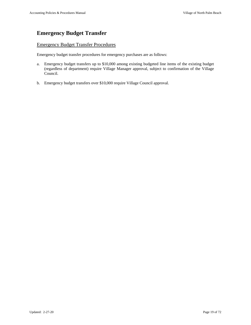# **Emergency Budget Transfer**

#### Emergency Budget Transfer Procedures

Emergency budget transfer procedures for emergency purchases are as follows:

- a. Emergency budget transfers up to \$10,000 among existing budgeted line items of the existing budget (regardless of department) require Village Manager approval, subject to confirmation of the Village Council.
- b. Emergency budget transfers over \$10,000 require Village Council approval.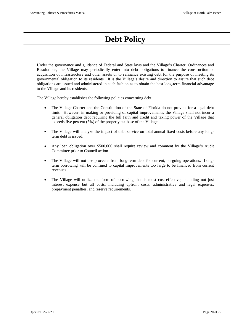# **Debt Policy**

Under the governance and guidance of Federal and State laws and the Village's Charter, Ordinances and Resolutions, the Village may periodically enter into debt obligations to finance the construction or acquisition of infrastructure and other assets or to refinance existing debt for the purpose of meeting its governmental obligation to its residents. It is the Village's desire and direction to assure that such debt obligations are issued and administered in such fashion as to obtain the best long-term financial advantage to the Village and its residents.

The Village hereby establishes the following policies concerning debt:

- The Village Charter and the Constitution of the State of Florida do not provide for a legal debt limit. However, in making or providing of capital improvements, the Village shall not incur a general obligation debt requiring the full faith and credit and taxing power of the Village that exceeds five percent (5%) of the property tax base of the Village.
- The Village will analyze the impact of debt service on total annual fixed costs before any longterm debt is issued.
- Any loan obligation over \$500,000 shall require review and comment by the Village's Audit Committee prior to Council action.
- The Village will not use proceeds from long-term debt for current, on-going operations. Longterm borrowing will be confined to capital improvements too large to be financed from current revenues.
- The Village will utilize the form of borrowing that is most cost-effective, including not just interest expense but all costs, including upfront costs, administrative and legal expenses, prepayment penalties, and reserve requirements.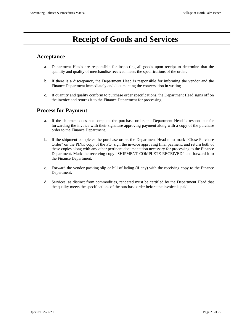# **Receipt of Goods and Services**

### **Acceptance**

- a. Department Heads are responsible for inspecting all goods upon receipt to determine that the quantity and quality of merchandise received meets the specifications of the order.
- b. If there is a discrepancy, the Department Head is responsible for informing the vendor and the Finance Department immediately and documenting the conversation in writing.
- c. If quantity and quality conform to purchase order specifications, the Department Head signs off on the invoice and returns it to the Finance Department for processing.

### **Process for Payment**

- a. If the shipment does not complete the purchase order, the Department Head is responsible for forwarding the invoice with their signature approving payment along with a copy of the purchase order to the Finance Department.
- b. If the shipment completes the purchase order, the Department Head must mark "Close Purchase Order" on the PINK copy of the PO, sign the invoice approving final payment, and return both of these copies along with any other pertinent documentation necessary for processing to the Finance Department. Mark the receiving copy "SHIPMENT COMPLETE RECEIVED" and forward it to the Finance Department.
- c. Forward the vendor packing slip or bill of lading (if any) with the receiving copy to the Finance Department.
- d. Services, as distinct from commodities, rendered must be certified by the Department Head that the quality meets the specifications of the purchase order before the invoice is paid.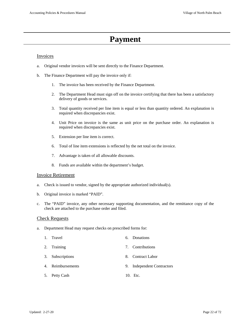# **Payment**

#### Invoices

- a. Original vendor invoices will be sent directly to the Finance Department.
- b. The Finance Department will pay the invoice only if:
	- 1. The invoice has been received by the Finance Department.
	- 2. The Department Head must sign off on the invoice certifying that there has been a satisfactory delivery of goods or services.
	- 3. Total quantity received per line item is equal or less than quantity ordered. An explanation is required when discrepancies exist.
	- 4. Unit Price on invoice is the same as unit price on the purchase order. An explanation is required when discrepancies exist.
	- 5. Extension per line item is correct.
	- 6. Total of line item extensions is reflected by the net total on the invoice.
	- 7. Advantage is taken of all allowable discounts.
	- 8. Funds are available within the department's budget.

#### Invoice Retirement

- a. Check is issued to vendor, signed by the appropriate authorized individual(s).
- b. Original invoice is marked "PAID".
- c. The "PAID" invoice, any other necessary supporting documentation, and the remittance copy of the check are attached to the purchase order and filed.

#### Check Requests

a. Department Head may request checks on prescribed forms for:

| 1. Travel         | 6. | <b>Donations</b>           |
|-------------------|----|----------------------------|
| 2. Training       |    | 7. Contributions           |
| 3. Subscriptions  |    | 8. Contract Labor          |
| 4. Reimbursements |    | 9. Independent Contractors |
| 5. Petty Cash     |    | 10. Etc.                   |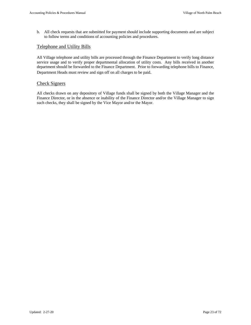b. All check requests that are submitted for payment should include supporting documents and are subject to follow terms and conditions of accounting policies and procedures.

#### Telephone and Utility Bills

All Village telephone and utility bills are processed through the Finance Department to verify long distance service usage and to verify proper departmental allocation of utility costs. Any bills received in another department should be forwarded to the Finance Department. Prior to forwarding telephone bills to Finance, Department Heads must review and sign off on all charges to be paid.

#### Check Signers

All checks drawn on any depository of Village funds shall be signed by both the Village Manager and the Finance Director, or in the absence or inability of the Finance Director and/or the Village Manager to sign such checks, they shall be signed by the Vice Mayor and/or the Mayor.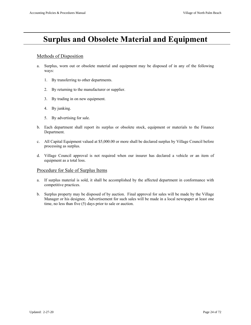# **Surplus and Obsolete Material and Equipment**

#### Methods of Disposition

- a. Surplus, worn out or obsolete material and equipment may be disposed of in any of the following ways:
	- 1. By transferring to other departments.
	- 2. By returning to the manufacturer or supplier.
	- 3. By trading in on new equipment.
	- 4. By junking.
	- 5. By advertising for sale.
- b. Each department shall report its surplus or obsolete stock, equipment or materials to the Finance Department.
- c. All Capital Equipment valued at \$5,000.00 or more shall be declared surplus by Village Council before processing as surplus.
- d. Village Council approval is not required when our insurer has declared a vehicle or an item of equipment as a total loss.

#### Procedure for Sale of Surplus Items

- a. If surplus material is sold, it shall be accomplished by the affected department in conformance with competitive practices.
- b. Surplus property may be disposed of by auction. Final approval for sales will be made by the Village Manager or his designee. Advertisement for such sales will be made in a local newspaper at least one time, no less than five (5) days prior to sale or auction.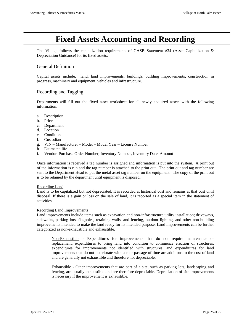# **Fixed Assets Accounting and Recording**

The Village follows the capitalization requirements of GASB Statement #34 (Asset Capitalization & Depreciation Guidance) for its fixed assets.

#### General Definition

Capital assets include: land, land improvements, buildings, building improvements, construction in progress, machinery and equipment, vehicles and infrastructure.

#### Recording and Tagging

Departments will fill out the fixed asset worksheet for all newly acquired assets with the following information:

- a. Description
- b. Price
- c. Department
- d. Location
- e. Condition
- f. Custodian
- g. VIN Manufacturer Model Model Year License Number
- h. Estimated life
- i. Vendor, Purchase Order Number, Inventory Number, Inventory Date, Amount

Once information is received a tag number is assigned and information is put into the system. A print out of the information is run and the tag number is attached to the print out. The print out and tag number are sent to the Department Head to put the metal asset tag number on the equipment. The copy of the print out is to be retained by the department until equipment is disposed.

#### Recording Land

Land is to be capitalized but not depreciated. It is recorded at historical cost and remains at that cost until disposal. If there is a gain or loss on the sale of land, it is reported as a special item in the statement of activities.

#### Recording Land Improvements

Land improvements include items such as excavation and non-infrastructure utility installation; driveways, sidewalks, parking lots, flagpoles, retaining walls, and fencing, outdoor lighting, and other non-building improvements intended to make the land ready for its intended purpose. Land improvements can be further categorized as non-exhaustible and exhaustible.

Non-Exhaustible - Expenditures for improvements that do not require maintenance or replacement, expenditures to bring land into condition to commence erection of structures, expenditures for improvements not identified with structures, and expenditures for land improvements that do not deteriorate with use or passage of time are additions to the cost of land and are generally not exhaustible and therefore not depreciable.

Exhaustible - Other improvements that are part of a site, such as parking lots, landscaping and fencing, are usually exhaustible and are therefore depreciable. Depreciation of site improvements is necessary if the improvement is exhaustible.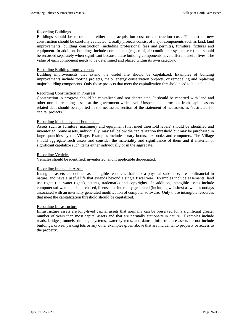#### Recording Buildings

Buildings should be recorded at either their acquisition cost or construction cost. The cost of new construction should be carefully evaluated. Usually projects consist of major components such as land, land improvements, building construction (including professional fees and permits), furniture, fixtures and equipment. In addition, buildings include components (e.g., roof, air conditioner system, etc.) that should be recorded separately when significant because these building components have different useful lives. The value of each component needs to be determined and placed within its own category.

#### Recording Building Improvements

Building improvements that extend the useful life should be capitalized. Examples of building improvements include roofing projects, major energy conservation projects, or remodeling and replacing major building components. Only those projects that meet the capitalization threshold need to be included.

#### Recording Construction in Progress

Construction in progress should be capitalized and not depreciated. It should be reported with land and other non-depreciating assets at the government-wide level. Unspent debt proceeds from capital assets related debt should be reported in the net assets section of the statement of net assets as "restricted for capital projects."

#### Recording Machinery and Equipment

Assets such as furniture, machinery and equipment (that meet threshold levels) should be identified and inventoried. Some assets, individually, may fall below the capitalization threshold but may be purchased in large quantities by the Village. Examples include library books, textbooks and computers. The Village should aggregate such assets and consider the materiality and significance of them and if material or significant capitalize such items either individually or in the aggregate.

#### Recording Vehicles

Vehicles should be identified, inventoried, and if applicable depreciated.

#### Recording Intangible Assets

Intangible assets are defined as intangible resources that lack a physical substance, are nonfinancial in nature, and have a useful life that extends beyond a single fiscal year. Examples include easements, land use rights (i.e. water rights), patents, trademarks and copyrights. In addition, intangible assets include computer software that is purchased, licensed or internally generated (including websites) as well as outlays associated with an internally generated modification of computer software. Only those intangible resources that meet the capitalization threshold should be capitalized.

#### Recording Infrastructure

Infrastructure assets are long-lived capital assets that normally can be preserved for a significant greater number of years than most capital assets and that are normally stationary in nature. Examples include roads, bridges, tunnels, drainage systems, water systems, and dams. Infrastructure assets do not include buildings, drives, parking lots or any other examples given above that are incidental to property or access to the property.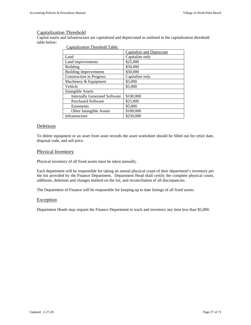#### Capitalization Threshold

Capital assets and infrastructure are capitalized and depreciated as outlined in the capitalization threshold table below:

| $\epsilon$                           |                           |
|--------------------------------------|---------------------------|
|                                      | Capitalize and Depreciate |
| Land                                 | Capitalize only           |
| Land improvements                    | \$25,000                  |
| Building                             | \$50,000                  |
| <b>Building Improvements</b>         | \$50,000                  |
| <b>Construction in Progress</b>      | Capitalize only           |
| Machinery & Equipment                | \$5,000                   |
| Vehicle                              | \$5,000                   |
| <b>Intangible Assets</b>             |                           |
| <b>Internally Generated Software</b> | \$100,000                 |
| <b>Purchased Software</b>            | \$25,000                  |
| Easements                            | \$5,000                   |
| <b>Other Intangible Assets</b>       | \$100,000                 |
| Infrastructure                       | \$250,000                 |

Capitalization Threshold Table:

#### Deletions

To delete equipment or an asset from asset records the asset worksheet should be filled out for retire date, disposal code, and sell price.

#### Physical Inventory

Physical inventory of all fixed assets must be taken annually.

Each department will be responsible for taking an annual physical count of their department's inventory per the list provided by the Finance Department. Department Head shall certify the complete physical count, additions, deletions and changes marked on the list, and reconciliation of all discrepancies.

The Department of Finance will be responsible for keeping up to date listings of all fixed assets.

#### Exception

Department Heads may request the Finance Department to track and inventory any item less than \$5,000.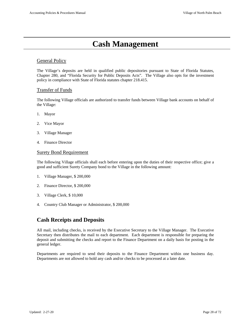# **Cash Management**

#### General Policy

The Village's deposits are held in qualified public depositories pursuant to State of Florida Statutes, Chapter 280, and "Florida Security for Public Deposits Acts". The Village also opts for the investment policy in compliance with State of Florida statutes chapter 218.415.

#### Transfer of Funds

The following Village officials are authorized to transfer funds between Village bank accounts on behalf of the Village:

- 1. Mayor
- 2. Vice Mayor
- 3. Village Manager
- 4. Finance Director

#### Surety Bond Requirement

The following Village officials shall each before entering upon the duties of their respective office; give a good and sufficient Surety Company bond to the Village in the following amount:

- 1. Village Manager, \$ 200,000
- 2. Finance Director, \$ 200,000
- 3. Village Clerk, \$ 10,000
- 4. Country Club Manager or Administrator, \$ 200,000

### **Cash Receipts and Deposits**

All mail, including checks, is received by the Executive Secretary to the Village Manager. The Executive Secretary then distributes the mail to each department. Each department is responsible for preparing the deposit and submitting the checks and report to the Finance Department on a daily basis for posting in the general ledger.

Departments are required to send their deposits to the Finance Department within one business day. Departments are not allowed to hold any cash and/or checks to be processed at a later date.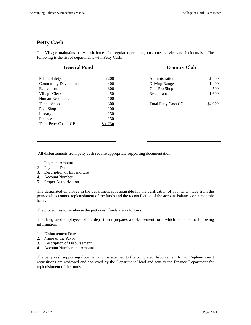# **Petty Cash**

The Village maintains petty cash boxes for regular operations, customer service and incidentals. The following is the list of departments with Petty Cash:

| <b>General Fund</b>          |            | <b>Country Club</b>        |         |  |  |  |
|------------------------------|------------|----------------------------|---------|--|--|--|
|                              |            |                            |         |  |  |  |
| <b>Public Safety</b>         | \$ 200     | Administration             | \$500   |  |  |  |
| <b>Community Development</b> | 400        | Driving Range              | 1,400   |  |  |  |
| Recreation                   | 300        | Golf Pro Shop              | 500     |  |  |  |
| Village Clerk                | 50         | Restaurant                 | 1,600   |  |  |  |
| <b>Human Resources</b>       | 100        |                            |         |  |  |  |
| Tennis Shop                  | 300        | <b>Total Petty Cash CC</b> | \$4,000 |  |  |  |
| Pool Shop                    | 100        |                            |         |  |  |  |
| Library                      | 150        |                            |         |  |  |  |
| Finance                      | <u>150</u> |                            |         |  |  |  |
| Total Petty Cash - GF        |            |                            |         |  |  |  |

All disbursements from petty cash require appropriate supporting documentation:

- 1. Payment Amount
- 2. Payment Date
- 3. Description of Expenditure
- 4. Account Number
- 5. Proper Authorization

The designated employee in the department is responsible for the verification of payments made from the petty cash accounts, replenishment of the funds and the reconciliation of the account balances on a monthly basis.

The procedures to reimburse the petty cash funds are as follows:

The designated employees of the department prepares a disbursement form which contains the following information:

- 1. Disbursement Date
- 2. Name of the Payor
- 3. Description of Disbursement
- 4. Account Number and Amount

The petty cash supporting documentation is attached to the completed disbursement form. Replenishment requisitions are reviewed and approved by the Department Head and sent to the Finance Department for replenishment of the funds.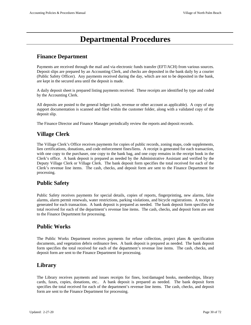# **Departmental Procedures**

# **Finance Department**

Payments are received through the mail and via electronic funds transfer (EFT/ACH) from various sources. Deposit slips are prepared by an Accounting Clerk, and checks are deposited in the bank daily by a courier (Public Safety Officer). Any payments received during the day, which are not to be deposited in the bank, are kept in the secured area until the deposit is made.

A daily deposit sheet is prepared listing payments received. These receipts are identified by type and coded by the Accounting Clerk.

All deposits are posted to the general ledger (cash, revenue or other account as applicable). A copy of any support documentation is scanned and filed within the customer folder, along with a validated copy of the deposit slip.

The Finance Director and Finance Manager periodically review the reports and deposit records.

# **Village Clerk**

The Village Clerk's Office receives payments for copies of public records, zoning maps, code supplements, lien certifications, donations, and code enforcement fines/liens. A receipt is generated for each transaction, with one copy to the purchaser, one copy to the bank bag, and one copy remains in the receipt book in the Clerk's office. A bank deposit is prepared as needed by the Administrative Assistant and verified by the Deputy Village Clerk or Village Clerk. The bank deposit form specifies the total received for each of the Clerk's revenue line items. The cash, checks, and deposit form are sent to the Finance Department for processing.

# **Public Safety**

Public Safety receives payments for special details, copies of reports, fingerprinting, new alarms, false alarms, alarm permit renewals, water restrictions, parking violations, and bicycle registrations. A receipt is generated for each transaction. A bank deposit is prepared as needed. The bank deposit form specifies the total received for each of the department's revenue line items. The cash, checks, and deposit form are sent to the Finance Department for processing.

# **Public Works**

The Public Works Department receives payments for refuse collection, project plans & specification documents, and vegetation debris ordinance fees. A bank deposit is prepared as needed. The bank deposit form specifies the total received for each of the department's revenue line items. The cash, checks, and deposit form are sent to the Finance Department for processing.

# **Library**

The Library receives payments and issues receipts for fines, lost/damaged books, memberships, library cards, faxes, copies, donations, etc.. A bank deposit is prepared as needed. The bank deposit form specifies the total received for each of the department's revenue line items. The cash, checks, and deposit form are sent to the Finance Department for processing.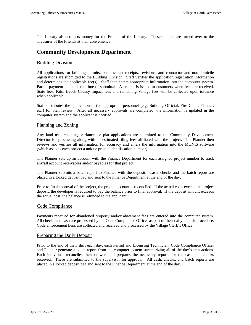The Library also collects money for the Friends of the Library. These monies are turned over to the Treasurer of the Friends at their convenience.

### **Community Development Department**

#### Building Division

All applications for building permits, business tax receipts, revisions, and contractor and non-domicile registrations are submitted to the Building Division. Staff verifies the application/registration information and determines the applicable fee(s). Staff then enters appropriate information into the computer system. Partial payment is due at the time of submittal. A receipt is issued to customers when fees are received. State fees, Palm Beach County impact fees and remaining Village fees will be collected upon issuance when applicable.

Staff distributes the application to the appropriate personnel (e.g. Building Official, Fire Chief, Planner, etc.) for plan review. After all necessary approvals are completed, the information is updated in the computer system and the applicant is notified.

#### Planning and Zoning

Any land use, rezoning, variance, or plat applications are submitted to the Community Development Director for processing along with all estimated filing fees affiliated with the project. The Planner then reviews and verifies all information for accuracy and enters the information into the MUNIS software (which assigns each project a unique project identification number).

The Planner sets up an account with the Finance Department for each assigned project number to track any/all account receivables and/or payables for that project.

The Planner submits a batch report to Finance with the deposit. Cash, checks and the batch report are placed in a locked deposit bag and sent to the Finance Department at the end of the day.

Prior to final approval of the project, the project account is reconciled. If the actual costs exceed the project deposit, the developer is required to pay the balance prior to final approval. If the deposit amount exceeds the actual cost, the balance is refunded to the applicant.

#### Code Compliance

Payments received for abandoned property and/or abatement fees are entered into the computer system. All checks and cash are processed by the Code Compliance Officer as part of their daily deposit procedure. Code enforcement liens are collected and received and processed by the Village Clerk's Office.

#### Preparing the Daily Deposit

Prior to the end of their shift each day, each Permit and Licensing Technician, Code Compliance Officer and Planner generate a batch report from the computer system summarizing all of the day's transactions. Each individual reconciles their drawer, and prepares the necessary reports for the cash and checks received. These are submitted to the supervisor for approval. All cash, checks, and batch reports are placed in a locked deposit bag and sent to the Finance Department at the end of the day.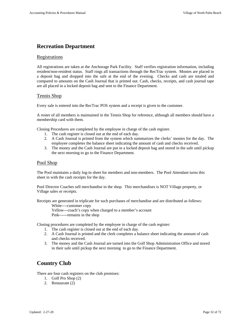### **Recreation Department**

#### Registrations

All registrations are taken at the Anchorage Park Facility. Staff verifies registration information, including resident/non-resident status. Staff rings all transactions through the RecTrac system. Monies are placed in a deposit bag and dropped into the safe at the end of the evening. Checks and cash are totaled and compared to amounts on the Cash Journal that is printed out. Cash, checks, receipts, and cash journal tape are all placed in a locked deposit bag and sent to the Finance Department.

#### Tennis Shop

Every sale is entered into the RecTrac POS system and a receipt is given to the customer.

A roster of all members is maintained in the Tennis Shop for reference, although all members should have a membership card with them.

Closing Procedures are completed by the employee in charge of the cash register.

- 1. The cash register is closed out at the end of each day.
- 2. A Cash Journal is printed from the system which summarizes the clerks' monies for the day. The employee completes the balance sheet indicating the amount of cash and checks received.
- 3. The money and the Cash Journal are put in a locked deposit bag and stored in the safe until pickup the next morning to go to the Finance Department.

#### Pool Shop

The Pool maintains a daily log-in sheet for members and non-members. The Pool Attendant turns this sheet in with the cash receipts for the day.

Pool Director Coaches sell merchandise in the shop. This merchandises is NOT Village property, or Village sales or receipts.

Receipts are generated in triplicate for such purchases of merchandise and are distributed as follows:

White----customer copy

 Yellow---coach's copy when charged to a member's account Pink------remains in the shop

Closing procedures are completed by the employee in charge of the cash register:

- 1. The cash register is closed out at the end of each day.
- 2. A Cash Journal is printed and the clerk completes a balance sheet indicating the amount of cash and checks received.
- 3. The money and the Cash Journal are turned into the Golf Shop Administration Office and stored in their safe until pickup the next morning to go to the Finance Department.

### **Country Club**

There are four cash registers on the club premises:

- 1. Golf Pro Shop (2)
- 2. Restaurant (2)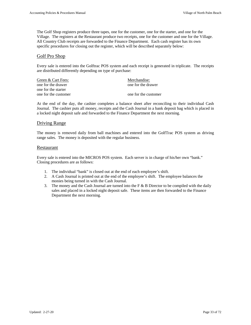The Golf Shop registers produce three tapes, one for the customer, one for the starter, and one for the Village. The registers at the Restaurant produce two receipts, one for the customer and one for the Village. All Country Club receipts are forwarded to the Finance Department.Each cash register has its own specific procedures for closing out the register, which will be described separately below:

#### Golf Pro Shop

Every sale is entered into the Golftrac POS system and each receipt is generated in triplicate. The receipts are distributed differently depending on type of purchase:

| Green & Cart Fees:   | Merchandise:         |
|----------------------|----------------------|
| one for the drawer   | one for the drawer   |
| one for the starter  |                      |
| one for the customer | one for the customer |

At the end of the day, the cashier completes a balance sheet after reconciling to their individual Cash Journal. The cashier puts all money, receipts and the Cash Journal in a bank deposit bag which is placed in a locked night deposit safe and forwarded to the Finance Department the next morning.

#### Driving Range

The money is removed daily from ball machines and entered into the GolfTrac POS system as driving range sales. The money is deposited with the regular business.

#### Restaurant

Every sale is entered into the MICROS POS system. Each server is in charge of his/her own "bank." Closing procedures are as follows:

- 1. The individual "bank" is closed out at the end of each employee's shift.
- 2. A Cash Journal is printed out at the end of the employee's shift. The employee balances the monies being turned in with the Cash Journal.
- 3. The money and the Cash Journal are turned into the F  $\&$  B Director to be compiled with the daily sales and placed in a locked night deposit safe. These items are then forwarded to the Finance Department the next morning.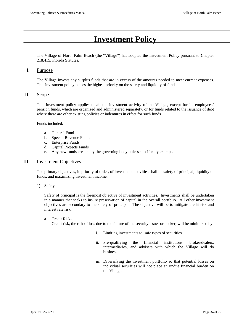# **Investment Policy**

The Village of North Palm Beach (the "Village") has adopted the Investment Policy pursuant to Chapter 218.415, Florida Statutes.

#### I. Purpose

The Village invests any surplus funds that are in excess of the amounts needed to meet current expenses. This investment policy places the highest priority on the safety and liquidity of funds.

#### II. Scope

This investment policy applies to all the investment activity of the Village, except for its employees' pension funds, which are organized and administered separately, or for funds related to the issuance of debt where there are other existing policies or indentures in effect for such funds.

Funds included:

- a. General Fund
- b. Special Revenue Funds
- c. Enterprise Funds
- d. Capital Projects Funds
- e. Any new funds created by the governing body unless specifically exempt.

#### III. Investment Objectives

The primary objectives, in priority of order, of investment activities shall be safety of principal, liquidity of funds, and maximizing investment income.

1) Safety

Safety of principal is the foremost objective of investment activities. Investments shall be undertaken in a manner that seeks to insure preservation of capital in the overall portfolio. All other investment objectives are secondary to the safety of principal. The objective will be to mitigate credit risk and interest rate risk.

a. Credit Risk-

Credit risk, the risk of loss due to the failure of the security issuer or backer, will be minimized by:

- i. Limiting investments to safe types of securities.
- ii. Pre-qualifying the financial institutions, broker/dealers, intermediaries, and advisers with which the Village will do business.
- iii. Diversifying the investment portfolio so that potential losses on individual securities will not place an undue financial burden on the Village.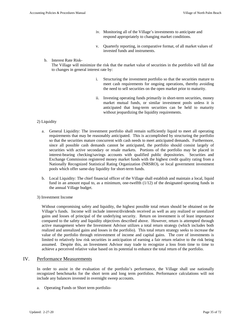- iv. Monitoring all of the Village's investments to anticipate and respond appropriately to changing market conditions.
- v. Quarterly reporting, in comparative format, of all market values of invested funds and instruments.
- b. Interest Rate Risk-

The Village will minimize the risk that the market value of securities in the portfolio will fall due to changes in general interest rate by:

- i. Structuring the investment portfolio so that the securities mature to meet cash requirements for ongoing operations, thereby avoiding the need to sell securities on the open market prior to maturity.
- ii. Investing operating funds primarily in short-term securities, money market mutual funds, or similar investment pools unless it is anticipated that long-term securities can be held to maturity without jeopardizing the liquidity requirements.

#### 2) Liquidity

- a. General Liquidity: The investment portfolio shall remain sufficiently liquid to meet all operating requirements that may be reasonably anticipated. This is accomplished by structuring the portfolio so that the securities mature concurrent with cash needs to meet anticipated demands. Furthermore, since all possible cash demands cannot be anticipated, the portfolio should consist largely of securities with active secondary or resale markets. Portions of the portfolio may be placed in interest-bearing checking/savings accounts with qualified public depositories. Securities and Exchange Commission registered money market funds with the highest credit quality rating from a Nationally Recognized Statistical Rating Organization (NRSRO), or local government investment pools which offer same-day liquidity for short-term funds.
- b. Local Liquidity: The chief financial officer of the Village shall establish and maintain a local, liquid fund in an amount equal to, as a minimum, one-twelfth  $(1/12)$  of the designated operating funds in the annual Village budget.
- 3) Investment Income

Without compromising safety and liquidity, the highest possible total return should be obtained on the Village's funds. Income will include interest/dividends received as well as any realized or unrealized gains and losses of principal of the underlying security. Return on investment is of least importance compared to the safety and liquidity objectives described above. However, return is attempted through active management where the Investment Advisor utilizes a total return strategy (which includes both realized and unrealized gains and losses in the portfolio). This total return strategy seeks to increase the value of the portfolio through reinvestment of income and capital gains. The core of investments is limited to relatively low risk securities in anticipation of earning a fair return relative to the risk being assumed. Despite this, an Investment Advisor may trade to recognize a loss from time to time to achieve a perceived relative value based on its potential to enhance the total return of the portfolio.

#### IV. Performance Measurements

In order to assist in the evaluation of the portfolio's performance, the Village shall use nationally recognized benchmarks for the short term and long term portfolios. Performance calculations will not include any balances invested in overnight sweep accounts.

a. Operating Funds or Short term portfolio-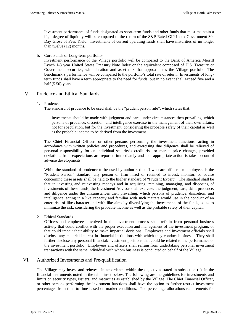Investment performance of funds designated as short-term funds and other funds that must maintain a high degree of liquidity will be compared to the return of the S&P Rated GIP Index Government 30- Day Gross of Fees Yield. Investments of current operating funds shall have maturities of no longer than twelve (12) months.

b. Core Funds or Long-term portfolio-

Investment performance of the Village portfolio will be compared to the Bank of America Merrill Lynch 1-3 year United States Treasury Note Index or the equivalent composed of U.S. Treasury or Government securities, with duration and asset mix that approximates the Village portfolio. The benchmark's performance will be compared to the portfolio's total rate of return. Investments of longterm funds shall have a term appropriate to the need for funds, but in no event shall exceed five and a half (5.50) years.

## V. Prudence and Ethical Standards

#### 1. Prudence

The standard of prudence to be used shall be the "prudent person rule", which states that:

Investments should be made with judgment and care, under circumstances then prevailing, which persons of prudence, discretion, and intelligence exercise in the management of their own affairs, not for speculation, but for the investment, considering the probable safety of their capital as well as the probable income to be derived from the investment.

The Chief Financial Officer, or other persons performing the investment functions, acting in accordance with written policies and procedures, and exercising due diligence shall be relieved of personal responsibility for an individual security's credit risk or market price changes, provided deviations from expectations are reported immediately and that appropriate action is take to control adverse developments.

While the standard of prudence to be used by authorized staff who are officers or employees is the "Prudent Person" standard, any person or firm hired or retained to invest, monitor, or advise concerning these assets shall be held to the higher standard of "Prudent Expert". The standard shall be that in investing and reinvesting moneys and in acquiring, retaining, managing, and disposing of investments of these funds, the Investment Advisor shall exercise: the judgment, care, skill, prudence, and diligence under the circumstances then prevailing, which persons of prudence, discretion, and intelligence, acting in a like capacity and familiar with such matters would use in the conduct of an enterprise of like character and with like aims by diversifying the investments of the funds, so as to minimize the risk, considering the probable income as well as the probable safety of their capital.

2. Ethical Standards

Officers and employees involved in the investment process shall refrain from personal business activity that could conflict with the proper execution and management of the investment program, or that could impair their ability to make impartial decisions. Employees and investment officials shall disclose any material interest in financial institutions with which they conduct business. They shall further disclose any personal financial/investment positions that could be related to the performance of the investment portfolio. Employees and officers shall refrain from undertaking personal investment transactions with the same individual with whom business is conducted on behalf of the Village.

# VI. Authorized Investments and Pre-qualification

The Village may invest and reinvest, in accordance within the objectives stated in subsection (c), in the financial instruments noted in the table inset below. The following are the guidelines for investments and limits on security types, issuers, and maturities as established by the Village. The Chief Financial Officer, or other persons performing the investment functions shall have the option to further restrict investment percentages from time to time based on market conditions. The percentage allocations requirements for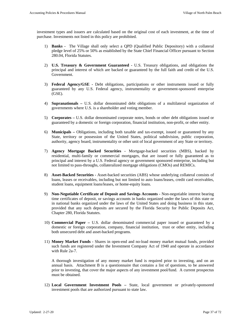investment types and issuers are calculated based on the original cost of each investment, at the time of purchase. Investments not listed in this policy are prohibited.

- 1) **Banks** The Village shall only select a QPD (Qualified Public Depository) with a collateral pledge level of 25% or 50% as established by the State Chief Financial Officer pursuant to Section 280.04, Florida Statutes.
- 2) **U.S. Treasury & Government Guaranteed** U.S. Treasury obligations, and obligations the principal and interest of which are backed or guaranteed by the full faith and credit of the U.S. Government.
- 3) **Federal Agency/GSE** Debt obligations, participations or other instruments issued or fully guaranteed by any U.S. Federal agency, instrumentality or government-sponsored enterprise (GSE).
- 4) **Supranationals –** U.S. dollar denominated debt obligations of a multilateral organization of governments where U.S. is a shareholder and voting member.
- 5) **Corporates** U.S. dollar denominated corporate notes, bonds or other debt obligations issued or guaranteed by a domestic or foreign corporation, financial institution, non-profit, or other entity.
- 6) **Municipals** Obligations, including both taxable and tax-exempt, issued or guaranteed by any State, territory or possession of the United States, political subdivision, public corporation, authority, agency board, instrumentality or other unit of local government of any State or territory.
- 7) **Agency Mortgage Backed Securities** Mortgage-backed securities (MBS), backed by residential, multi-family or commercial mortgages, that are issued or fully guaranteed as to principal and interest by a U.S. Federal agency or government sponsored enterprise, including but not limited to pass-throughs, collateralized mortgage obligations (CMOs) and REMICs.
- 8) **Asset-Backed Securities** Asset-backed securities (ABS) whose underlying collateral consists of loans, leases or receivables, including but not limited to auto loans/leases, credit card receivables, student loans, equipment loans/leases, or home-equity loans.
- 9) **Non-Negotiable Certificate of Deposit and Savings Accounts** Non-negotiable interest bearing time certificates of deposit, or savings accounts in banks organized under the laws of this state or in national banks organized under the laws of the United States and doing business in this state, provided that any such deposits are secured by the Florida Security for Public Deposits Act, Chapter 280, Florida Statutes.
- 10) **Commercial Paper –** U.S. dollar denominated commercial paper issued or guaranteed by a domestic or foreign corporation, company, financial institution, trust or other entity, including both unsecured debt and asset-backed programs.
- 11) **Money Market Funds** Shares in open-end and no-load money market mutual funds, provided such funds are registered under the Investment Company Act of 1940 and operate in accordance with Rule 2a-7.

A thorough investigation of any money market fund is required prior to investing, and on an annual basis. Attachment B is a questionnaire that contains a list of questions, to be answered prior to investing, that cover the major aspects of any investment pool/fund. A current prospectus must be obtained.

12) **Local Government Investment Pools –** State, local government or privately-sponsored investment pools that are authorized pursuant to state law.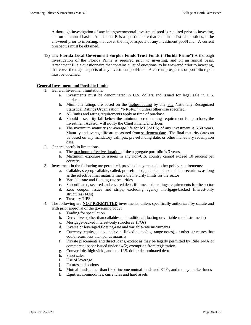A thorough investigation of any intergovernmental investment pool is required prior to investing, and on an annual basis. Attachment B is a questionnaire that contains a list of questions, to be answered prior to investing, that cover the major aspects of any investment pool/fund. A current prospectus must be obtained.

13) **The Florida Local Government Surplus Funds Trust Funds ("Florida Prime")** A thorough investigation of the Florida Prime is required prior to investing, and on an annual basis. Attachment B is a questionnaire that contains a list of questions, to be answered prior to investing, that cover the major aspects of any investment pool/fund. A current prospectus or portfolio report must be obtained.

### **General Investment and Portfolio Limits**

- 1. General investment limitations:
	- a. Investments must be denominated in U.S. dollars and issued for legal sale in U.S. markets.
	- b. Minimum ratings are based on the highest rating by any one Nationally Recognized Statistical Ratings Organization ("NRSRO"), unless otherwise specified.
	- c. All limits and rating requirements apply at time of purchase.
	- d. Should a security fall below the minimum credit rating requirement for purchase, the Investment Advisor will notify the Chief Financial Officer.
	- e. The maximum maturity (or average life for MBS/ABS) of any investment is 5.50 years. Maturity and average life are measured from settlement date. The final maturity date can be based on any mandatory call, put, pre-refunding date, or other mandatory redemption date.
- 2. General portfolio limitations:
	- a. The maximum effective duration of the aggregate portfolio is 3 years.
	- b. Maximum exposure to issuers in any non-U.S. country cannot exceed 10 percent per country.
- 3. Investment in the following are permitted, provided they meet all other policy requirements:
	- a. Callable, step-up callable, called, pre-refunded, putable and extendable securities, as long as the effective final maturity meets the maturity limits for the sector
	- b. Variable-rate and floating-rate securities
	- c. Subordinated, secured and covered debt, if it meets the ratings requirements for the sector
	- d. Zero coupon issues and strips, excluding agency mortgage-backed Interest-only structures (I/Os)
	- e. Treasury TIPS
- 4. The following are **NOT PERMITTED** investments, unless specifically authorized by statute and with prior approval of the governing body**:**
	- a. Trading for speculation
	- b. Derivatives (other than callables and traditional floating or variable-rate instruments)
	- c. Mortgage-backed interest-only structures (I/Os)
	- d. Inverse or leveraged floating-rate and variable-rate instruments
	- e. Currency, equity, index and event-linked notes (e.g. range notes), or other structures that could return less than par at maturity
	- f. Private placements and direct loans, except as may be legally permitted by Rule 144A or commercial paper issued under a 4(2) exemption from registration
	- g. Convertible, high yield, and non-U.S. dollar denominated debt
	- h. Short sales
	- i. Use of leverage
	- j. Futures and options
	- k. Mutual funds, other than fixed-income mutual funds and ETFs, and money market funds
	- l. Equities, commodities, currencies and hard assets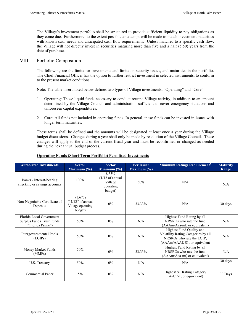The Village's investment portfolio shall be structured to provide sufficient liquidity to pay obligations as they come due. Furthermore, to the extent possible an attempt will be made to match investment maturities with known cash needs and anticipated cash flow requirements. Unless matched to a specific cash flow, the Village will not directly invest in securities maturing more than five and a half (5.50) years from the date of purchase.

# VIII. Portfolio Composition

The following are the limits for investments and limits on security issues, and maturities in the portfolio. The Chief Financial Officer has the option to further restrict investment in selected instruments, to conform to the present market conditions.

Note: The table insert noted below defines two types of Village investments; "Operating" and "Core":

- 1. Operating: Those liquid funds necessary to conduct routine Village activity, in addition to an amount determined by the Village Council and administration sufficient to cover emergency situations and unforeseen capital expenditures.
- 2. Core: All funds not included in operating funds. In general, these funds can be invested in issues with longer-term maturities.

These terms shall be defined and the amounts will be designated at least once a year during the Village budget discussions. Changes during a year shall only be made by resolution of the Village Council. These changes will apply to the end of the current fiscal year and must be reconfirmed or changed as needed during the next annual budget process.

| <b>Authorized Investments</b>                                              | <b>Sector</b><br>Maximum $(\% )$                                           | <b>Sector</b><br>Minimum $(\% )$                                       | <b>Per Issuer</b><br>Maximum $(\% )$ | Minimum Ratings Requirement <sup>1</sup>                                                                                      | <b>Maturity</b><br>Range |
|----------------------------------------------------------------------------|----------------------------------------------------------------------------|------------------------------------------------------------------------|--------------------------------------|-------------------------------------------------------------------------------------------------------------------------------|--------------------------|
| Banks - Interest-bearing<br>checking or savings accounts                   | 100%                                                                       | 8.33%<br>$(1/12 \text{ of annual})$<br>Village<br>operating<br>budget) | 50%                                  | N/A                                                                                                                           | N/A                      |
| Non-Negotiable Certificate of<br>Deposits                                  | 91.67%<br>$(11/12^{th} \text{ of annual})$<br>Village operating<br>budget) | 0%                                                                     | 33.33%                               | N/A                                                                                                                           | 30 days                  |
| Florida Local Government<br>Surplus Funds Trust Funds<br>("Florida Prime") | 50%                                                                        | $0\%$                                                                  | N/A                                  | Highest Fund Rating by all<br>NRSRO <sub>s</sub> who rate the fund<br>(AAAm/Aaa-mf, or equivalent)                            | N/A                      |
| Intergovernmental Pools<br>(LGIPs)                                         | 50%                                                                        | 0%                                                                     | N/A                                  | Highest Fund Quality and<br>Volatility Rating Categories by all<br>NRSROs who rate the LGIP,<br>(AAAm/AAAf, S1, or equivalent | N/A                      |
| Money Market Funds<br>(MMFs)                                               | 50%                                                                        | $0\%$                                                                  | 33.33%                               | Highest Fund Rating by all<br>NRSRO <sub>s</sub> who rate the fund<br>(AAAm/Aaa-mf, or equivalent)                            | N/A                      |
| U.S. Treasury                                                              | 50%                                                                        | $0\%$                                                                  | N/A                                  | N/A                                                                                                                           | 30 days                  |
| Commercial Paper                                                           | $5\%$                                                                      | $0\%$                                                                  | N/A                                  | <b>Highest ST Rating Category</b><br>$(A-1/P-1,$ or equivalent)                                                               | 30 Days                  |

### **Operating Funds (Short-Term Portfolio) Permitted Investments**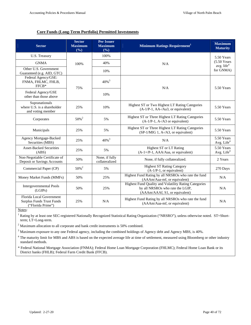# **Core Funds (Long-Term Portfolio) Permitted Investments**

| <b>Sector</b>                                                              | <b>Sector</b><br><b>Maximum</b><br>(%) | <b>Per Issuer</b><br><b>Maximum</b><br>(%) | Minimum Ratings Requirement <sup>1</sup>                                                                                    | <b>Maximum</b><br><b>Maturity</b>    |
|----------------------------------------------------------------------------|----------------------------------------|--------------------------------------------|-----------------------------------------------------------------------------------------------------------------------------|--------------------------------------|
| U.S. Treasury                                                              |                                        | 100%                                       | N/A                                                                                                                         | 5.50 Years                           |
| <b>GNMA</b>                                                                | 100%                                   | 40%                                        |                                                                                                                             | $(5.50$ Years<br>avg. life $4$       |
| Other U.S. Government<br>Guaranteed (e.g. AID, GTC)                        |                                        | 10%                                        |                                                                                                                             | for GNMA)                            |
| Federal Agency/GSE:<br>FNMA, FHLMC, FHLB,<br>FFCB*                         | 75%                                    | $40\%$ <sup>3</sup>                        | N/A                                                                                                                         | 5.50 Years                           |
| Federal Agency/GSE<br>other than those above                               |                                        | 10%                                        |                                                                                                                             |                                      |
| Supranationals<br>where U.S. is a shareholder<br>and voting member         | 25%                                    | 10%                                        | Highest ST or Two Highest LT Rating Categories<br>(A-1/P-1, AA-/Aa3, or equivalent)                                         | 5.50 Years                           |
| Corporates                                                                 | 50% <sup>2</sup>                       | 5%                                         | Highest ST or Three Highest LT Rating Categories<br>$(A-1/P-1, A-/A3)$ or equivalent)                                       | 5.50 Years                           |
| Municipals                                                                 | 25%                                    | 5%                                         | Highest ST or Three Highest LT Rating Categories<br>(SP-1/MIG 1, A-/A3, or equivalent)                                      | 5.50 Years                           |
| Agency Mortgage-Backed<br>Securities (MBS)                                 | 25%                                    | $40\%$ <sup>3</sup>                        | N/A                                                                                                                         | 5.50 Years<br>Avg. Life $4$          |
| <b>Asset-Backed Securities</b><br>(ABS)                                    | 25%                                    | 5%                                         | Highest ST or LT Rating<br>(A-1+/P-1, AAA/Aaa, or equivalent)                                                               | 5.50 Years<br>Avg. Life <sup>4</sup> |
| Non-Negotiable Certificate of<br>Deposit or Savings Accounts               | 50%                                    | None, if fully<br>collateralized           | None, if fully collateralized.                                                                                              | 2 Years                              |
| Commercial Paper (CP)                                                      | $50\%$ <sup>2</sup>                    | 5%                                         | <b>Highest ST Rating Category</b><br>$(A-1/P-1, or equivalent)$                                                             | 270 Days                             |
| Money Market Funds (MMFs)                                                  | 50%                                    | 25%                                        | Highest Fund Rating by all NRSROs who rate the fund<br>(AAAm/Aaa-mf, or equivalent)                                         | N/A                                  |
| <b>Intergovernmental Pools</b><br>(LGIPs)                                  | 50%                                    | 25%                                        | Highest Fund Quality and Volatility Rating Categories<br>by all NRSROs who rate the LGIP,<br>(AAAm/AAAf, S1, or equivalent) | N/A                                  |
| Florida Local Government<br>Surplus Funds Trust Funds<br>("Florida Prime") | 25%                                    | N/A                                        | Highest Fund Rating by all NRSROs who rate the fund<br>(AAAm/Aaa-mf, or equivalent)                                         | N/A                                  |

Notes:

<sup>1</sup> Rating by at least one SEC-registered Nationally Recognized Statistical Rating Organization ("NRSRO"), unless otherwise noted. ST=Shortterm; LT=Long-term.

 $2$  Maximum allocation to all corporate and bank credit instruments is 50% combined.

 $3$  Maximum exposure to any one Federal agency, including the combined holdings of Agency debt and Agency MBS, is 40%.

<sup>4</sup> The maturity limit for MBS and ABS is based on the expected average life at time of settlement, measured using Bloomberg or other industry standard methods.

\* Federal National Mortgage Association (FNMA); Federal Home Loan Mortgage Corporation (FHLMC); Federal Home Loan Bank or its District banks (FHLB); Federal Farm Credit Bank (FFCB).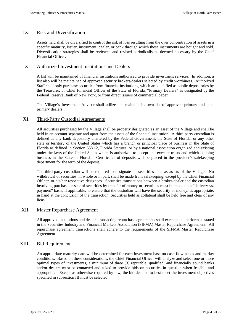### IX. Risk and Diversification

Assets held shall be diversified to control the risk of loss resulting from the over concentration of assets in a specific maturity, issuer, instrument, dealer, or bank through which these instruments are bought and sold. Diversification strategies shall be reviewed and revised periodically as deemed necessary by the Chief Financial Officer.

### X. Authorized Investment Institutions and Dealers

A list will be maintained of financial institutions authorized to provide investment services. In addition, a list also will be maintained of approved security brokers/dealers selected by credit worthiness. Authorized Staff shall only purchase securities from financial institutions, which are qualified as public depositories by the Treasurer, or Chief Financial Officer of the State of Florida, "Primary Dealers" as designated by the Federal Reserve Bank of New York, or from direct issuers of commercial paper.

The Village's Investment Advisor shall utilize and maintain its own list of approved primary and nonprimary dealers.

## XI. Third-Party Custodial Agreements

All securities purchased by the Village shall be properly designated as an asset of the Village and shall be held in an account separate and apart from the assets of the financial institution. A third party custodian is defined as any bank depository chartered by the Federal Government, the State of Florida, or any other state or territory of the United States which has a branch or principal place of business in the State of Florida as defined in Section 658.12, Florida Statutes, or by a national association organized and existing under the laws of the United States which is authorized to accept and execute trusts and which is doing business in the State of Florida. Certificates of deposits will be placed in the provider's safekeeping department for the term of the deposit.

The third-party custodian will be required to designate all securities held as assets of the Village. No withdrawal of securities, in whole or in part, shall be made from safekeeping, except by the Chief Financial Officer, or his/her respective designees. Securities transactions between a broker-dealer and the custodian involving purchase or sale of securities by transfer of money or securities must be made on a "delivery vs. payment" basis, if applicable, to ensure that the custodian will have the security or money, as appropriate, in hand at the conclusion of the transaction. Securities held as collateral shall be held free and clear of any liens.

## XII. Master Repurchase Agreement

All approved institutions and dealers transacting repurchase agreements shall execute and perform as stated in the Securities Industry and Financial Markets Association (SIFMA) Master Repurchase Agreement. All repurchase agreement transactions shall adhere to the requirements of the SIFMA Master Repurchase Agreement.

### XIII. Bid Requirement

An appropriate maturity date will be determined for each investment base on cash flow needs and market conditions. Based on these considerations, the Chief Financial Officer will analyze and select one or more optimal types of investments, a minimum of three (3) reputable, qualified, and financially sound banks and/or dealers must be contacted and asked to provide bids on securities in question when feasible and appropriate. Except as otherwise required by law, the bid deemed to best meet the investment objectives specified in subsection III must be selected.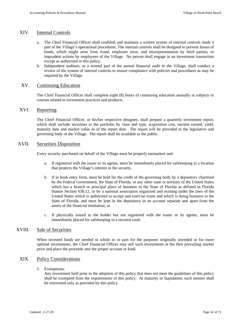## XIV. Internal Controls

- a. The Chief Financial Officer shall establish and maintain a written system of internal controls made a part of the Village's operational procedures. The internal controls shall be designed to prevent losses of funds, which might arise from fraud, employee error, and misrepresentation by third parties, or imprudent actions by employees of the Village. No person shall engage in an investment transaction except as authorized in this policy.
- b. Independent auditors, as a normal part of the annual financial audit to the Village, shall conduct a review of the system of internal controls to ensure compliance with policies and procedures as may be required by the Village.

## XV. Continuing Education

The Chief Financial Officer shall complete eight (8) hours of continuing education annually in subjects or courses related to investment practices and products.

## XVI. Reporting

The Chief Financial Officer, or his/her respective designee, shall prepare a quarterly investment report, which shall include securities in the portfolio by class and type, acquisition cost, income earned, yield, maturity date and market value as of the report date. The report will be provided to the legislative and governing body of the Village. The report shall be available to the public.

### XVII. Securities Disposition

Every security purchased on behalf of the Village must be properly earmarked and:

- a. If registered with the issuer or its agents, must be immediately placed for safekeeping in a location that protects the Village's interest in the security.
- b. If in book entry form, must be held for the credit of the governing body by a depository chartered by the Federal Government, the State of Florida, or any other state or territory of the United States which has a branch or principal place of business in the State of Florida as defined in Florida Statute Section 658.12, or by a national association organized and existing under the laws of the United States which is authorized to accept and exercise trusts and which is doing business in the State of Florida, and must be kept in the depository in an account separate and apart from the assets of the financial institution; or
- c. If physically issued to the holder but not registered with the issuer or its agents, must be immediately placed for safekeeping in a secured vault.

## XVIII. Sale of Securities

When invested funds are needed in whole or in part for the purposes originally intended or for more optimal investments, the Chief Financial Officer may sell such investments at the then prevailing market price and place the proceeds into the proper account or fund.

### XIX. Policy Considerations

1. Exemptions:

Any investment held prior to the adoption of this policy that does not meet the guidelines of this policy shall be exempted from the requirements of this policy. At maturity or liquidation, such monies shall be reinvested only as provided by this policy.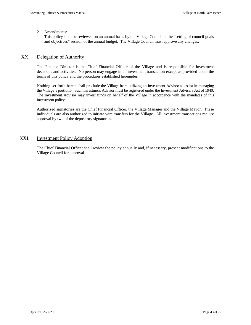#### 2. Amendments:

This policy shall be reviewed on an annual basis by the Village Council at the "setting of council goals and objectives" session of the annual budget. The Village Council must approve any changes.

# XX. Delegation of Authority

The Finance Director is the Chief Financial Officer of the Village and is responsible for investment decisions and activities. No person may engage in an investment transaction except as provided under the terms of this policy and the procedures established hereunder.

Nothing set forth herein shall preclude the Village from utilizing an Investment Advisor to assist in managing the Village's portfolio. Such Investment Advisor must be registered under the Investment Advisers Act of 1940. The Investment Advisor may invest funds on behalf of the Village in accordance with the mandates of this investment policy.

Authorized signatories are the Chief Financial Officer, the Village Manager and the Village Mayor. These individuals are also authorized to initiate wire transfers for the Village. All investment transactions require approval by two of the depository signatories.

# XXI. Investment Policy Adoption

The Chief Financial Officer shall review the policy annually and, if necessary, present modifications to the Village Council for approval.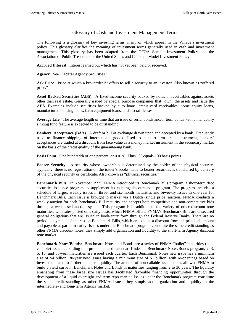# Glossary of Cash and Investment Management Terms

The following is a glossary of key investing terms, many of which appear in the Village's investment policy. This glossary clarifies the meaning of investment terms generally used in cash and investment management. This glossary has been adapted from the GFOA Sample Investment Policy and the Association of Public Treasurers of the United States and Canada's Model Investment Policy.

**Accrued Interest.** Interest earned but which has not yet been paid or received.

Agency. See "Federal Agency Securities."

**Ask Price.** Price at which a broker/dealer offers to sell a security to an investor. Also known as "offered price."

**Asset Backed Securities (ABS).** A fixed-income security backed by notes or receivables against assets other than real estate. Generally issued by special purpose companies that "own" the assets and issue the ABS. Examples include securities backed by auto loans, credit card receivables, home equity loans, manufactured housing loans, farm equipment loans, and aircraft leases.

**Average Life.** The average length of time that an issue of serial bonds and/or term bonds with a mandatory sinking fund feature is expected to be outstanding.

**Bankers' Acceptance (BA's).** A draft or bill of exchange drawn upon and accepted by a bank. Frequently used to finance shipping of international goods. Used as a short-term credit instrument, bankers' acceptances are traded at a discount from face value as a money market instrument in the secondary market on the basis of the credit quality of the guaranteeing bank.

**Basis Point.** One hundredth of one percent, or 0.01%. Thus 1% equals 100 basis points.

**Bearer Security.** A security whose ownership is determined by the holder of the physical security. Typically, there is no registration on the issuer's books. Title to bearer securities is transferred by delivery of the physical security or certificate. Also known as "physical securities."

**Benchmark Bills:** In November 1999, FNMA introduced its Benchmark Bills program, a short-term debt securities issuance program to supplement its existing discount note program. The program includes a schedule of larger, weekly issues in three- and six-month maturities and biweekly issues in one-year for Benchmark Bills. Each issue is brought to market via a Dutch (single price) auction. FNMA conducts a weekly auction for each Benchmark Bill maturity and accepts both competitive and non-competitive bids through a web based auction system. This program is in addition to the variety of other discount note maturities, with rates posted on a daily basis, which FNMA offers. FNMA's Benchmark Bills are unsecured general obligations that are issued in book-entry form through the Federal Reserve Banks. There are no periodic payments of interest on Benchmark Bills, which are sold at a discount from the principal amount and payable at par at maturity. Issues under the Benchmark program constitute the same credit standing as other FNMA discount notes; they simply add organization and liquidity to the short-term Agency discount note market.

**Benchmark Notes/Bonds:** Benchmark Notes and Bonds are a series of FNMA "bullet" maturities (noncallable) issued according to a pre-announced calendar. Under its Benchmark Notes/Bonds program, 2, 3, 5, 10, and 30-year maturities are issued each quarter. Each Benchmark Notes new issue has a minimum size of \$4 billion, 30-year new issues having a minimum size of \$1 billion, with re-openings based on investor demand to further enhance liquidity. The amount of non-callable issuance has allowed FNMA to build a yield curve in Benchmark Notes and Bonds in maturities ranging from 2 to 30 years. The liquidity emanating from these large size issues has facilitated favorable financing opportunities through the development of a liquid overnight and term repo market. Issues under the Benchmark program constitute the same credit standing as other FNMA issues; they simply add organization and liquidity to the intermediate- and long-term Agency market.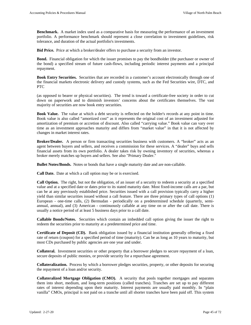**Benchmark.** A market index used as a comparative basis for measuring the performance of an investment portfolio. A performance benchmark should represent a close correlation to investment guidelines, risk tolerance, and duration of the actual portfolio's investments.

**Bid Price.** Price at which a broker/dealer offers to purchase a security from an investor.

**Bond.** Financial obligation for which the issuer promises to pay the bondholder (the purchaser or owner of the bond) a specified stream of future cash-flows, including periodic interest payments and a principal repayment.

**Book Entry Securities.** Securities that are recorded in a customer's account electronically through one of the financial markets electronic delivery and custody systems, such as the Fed Securities wire, DTC, and PTC

(as opposed to bearer or physical securities). The trend is toward a certificate-free society in order to cut down on paperwork and to diminish investors' concerns about the certificates themselves. The vast majority of securities are now book entry securities.

**Book Value.** The value at which a debt security is reflected on the holder's records at any point in time. Book value is also called "amortized cost" as it represents the original cost of an investment adjusted for amortization of premium or accretion of discount. Also called "carrying value." Book value can vary over time as an investment approaches maturity and differs from "market value" in that it is not affected by changes in market interest rates.

**Broker/Dealer.** A person or firm transacting securities business with customers. A "broker" acts as an agent between buyers and sellers, and receives a commission for these services. A "dealer" buys and sells financial assets from its own portfolio. A dealer takes risk by owning inventory of securities, whereas a broker merely matches up buyers and sellers. See also "Primary Dealer."

**Bullet Notes/Bonds.** Notes or bonds that have a single maturity date and are non-callable.

**Call Date.** Date at which a call option may be or is exercised.

**Call Option.** The right, but not the obligation, of an issuer of a security to redeem a security at a specified value and at a specified date or dates prior to its stated maturity date. Most fixed-income calls are a par, but can be at any previously established price. Securities issued with a call provision typically carry a higher yield than similar securities issued without a call feature. There are three primary types of call options (1) European - one-time calls, (2) Bermudan - periodically on a predetermined schedule (quarterly, semiannual, annual), and (3) American - continuously callable at any time on or after the call date. There is usually a notice period of at least 5 business days prior to a call date.

**Callable Bonds/Notes.** Securities which contain an imbedded call option giving the issuer the right to redeem the securities prior to maturity at a predetermined price and time.

**Certificate of Deposit (CD).** Bank obligation issued by a financial institution generally offering a fixed rate of return (coupon) for a specified period of time (maturity). Can be as long as 10 years to maturity, but most CDs purchased by public agencies are one year and under.

**Collateral.** Investment securities or other property that a borrower pledges to secure repayment of a loan, secure deposits of public monies, or provide security for a repurchase agreement.

**Collateralization.** Process by which a borrower pledges securities, property, or other deposits for securing the repayment of a loan and/or security.

**Collateralized Mortgage Obligation (CMO).** A security that pools together mortgages and separates them into short, medium, and long-term positions (called tranches). Tranches are set up to pay different rates of interest depending upon their maturity. Interest payments are usually paid monthly. In "plain vanilla" CMOs, principal is not paid on a tranche until all shorter tranches have been paid off. This system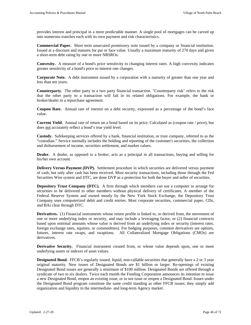provides interest and principal in a more predictable manner. A single pool of mortgages can be carved up into numerous tranches each with its own payment and risk characteristics.

**Commercial Paper.** Short term unsecured promissory note issued by a company or financial institution. Issued at a discount and matures for par or face value. Usually a maximum maturity of 270 days and given a short-term debt rating by one or more NRSROs.

**Convexity.** A measure of a bond's price sensitivity to changing interest rates. A high convexity indicates greater sensitivity of a bond's price to interest rate changes.

**Corporate Note.** A debt instrument issued by a corporation with a maturity of greater than one year and less than ten years.

**Counterparty.** The other party in a two party financial transaction. "Counterparty risk" refers to the risk that the other party to a transaction will fail in its related obligations. For example, the bank or broker/dealer in a repurchase agreement.

**Coupon Rate.** Annual rate of interest on a debt security, expressed as a percentage of the bond's face value.

**Current Yield.** Annual rate of return on a bond based on its price. Calculated as (coupon rate / price), but does not accurately reflect a bond's true yield level.

**Custody.** Safekeeping services offered by a bank, financial institution, or trust company, referred to as the "custodian." Service normally includes the holding and reporting of the customer's securities, the collection and disbursement of income, securities settlement, and market values.

**Dealer.** A dealer, as opposed to a broker, acts as a principal in all transactions, buying and selling for his/her own account.

**Delivery Versus Payment (DVP).** Settlement procedure in which securities are delivered versus payment of cash, but only after cash has been received. Most security transactions, including those through the Fed Securities Wire system and DTC, are done DVP as a protection for both the buyer and seller of securities.

**Depository Trust Company (DTC).** A firm through which members can use a computer to arrange for securities to be delivered to other members without physical delivery of certificates. A member of the Federal Reserve System and owned mostly by the New York Stock Exchange, the Depository Trust Company uses computerized debit and credit entries. Most corporate securities, commercial paper, CDs, and BAs clear through DTC.

**Derivatives.** (1) Financial instruments whose return profile is linked to, or derived from, the movement of one or more underlying index or security, and may include a leveraging factor, or (2) financial contracts based upon notional amounts whose value is derived from an underlying index or security (interest rates, foreign exchange rates, equities, or commodities). For hedging purposes, common derivatives are options, futures, interest rate swaps, and swaptions. All Collateralized Mortgage Obligations (CMOs) are derivatives.

**Derivative Security.** Financial instrument created from, or whose value depends upon, one or more underlying assets or indexes of asset values.

**Designated Bond.** FFCB's regularly issued, liquid, non-callable securities that generally have a 2 or 3 year original maturity. New issues of Designated Bonds are \$1 billion or larger. Re-openings of existing Designated Bond issues are generally a minimum of \$100 million. Designated Bonds are offered through a syndicate of two to six dealers. Twice each month the Funding Corporation announces its intention to issue a new Designated Bond, reopen an existing issue, or to not issue or reopen a Designated Bond. Issues under the Designated Bond program constitute the same credit standing as other FFCB issues; they simply add organization and liquidity to the intermediate- and long-term Agency market.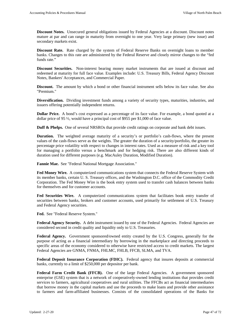**Discount Notes.** Unsecured general obligations issued by Federal Agencies at a discount. Discount notes mature at par and can range in maturity from overnight to one year. Very large primary (new issue) and secondary markets exist.

**Discount Rate.** Rate charged by the system of Federal Reserve Banks on overnight loans to member banks. Changes to this rate are administered by the Federal Reserve and closely mirror changes to the "fed funds rate."

**Discount Securities.** Non-interest bearing money market instruments that are issued at discount and redeemed at maturity for full face value. Examples include: U.S. Treasury Bills, Federal Agency Discount Notes, Bankers' Acceptances, and Commercial Paper.

**Discount.** The amount by which a bond or other financial instrument sells below its face value. See also "Premium."

**Diversification.** Dividing investment funds among a variety of security types, maturities, industries, and issuers offering potentially independent returns.

**Dollar Price.** A bond's cost expressed as a percentage of its face value. For example, a bond quoted at a dollar price of 95 ½, would have a principal cost of \$955 per \$1,000 of face value.

**Duff & Phelps.** One of several NRSROs that provide credit ratings on corporate and bank debt issues.

**Duration.** The weighted average maturity of a security's or portfolio's cash-flows, where the present values of the cash-flows serve as the weights. The greater the duration of a security/portfolio, the greater its percentage price volatility with respect to changes in interest rates. Used as a measure of risk and a key tool for managing a portfolio versus a benchmark and for hedging risk. There are also different kinds of duration used for different purposes (e.g. MacAuley Duration, Modified Duration).

**Fannie Mae.** See "Federal National Mortgage Association."

**Fed Money Wire.** A computerized communications system that connects the Federal Reserve System with its member banks, certain U. S. Treasury offices, and the Washington D.C. office of the Commodity Credit Corporation. The Fed Money Wire is the book entry system used to transfer cash balances between banks for themselves and for customer accounts.

**Fed Securities Wire.** A computerized communications system that facilitates book entry transfer of securities between banks, brokers and customer accounts, used primarily for settlement of U.S. Treasury and Federal Agency securities.

**Fed.** See "Federal Reserve System."

**Federal Agency Security.** A debt instrument issued by one of the Federal Agencies. Federal Agencies are considered second in credit quality and liquidity only to U.S. Treasuries.

Federal Agency. Government sponsored/owned entity created by the U.S. Congress, generally for the purpose of acting as a financial intermediary by borrowing in the marketplace and directing proceeds to specific areas of the economy considered to otherwise have restricted access to credit markets. The largest Federal Agencies are GNMA, FNMA, FHLMC, FHLB, FFCB, SLMA, and TVA.

**Federal Deposit Insurance Corporation (FDIC).** Federal agency that insures deposits at commercial banks, currently to a limit of \$250,000 per depositor per bank.

**Federal Farm Credit Bank (FFCB).** One of the large Federal Agencies. A government sponsored enterprise (GSE) system that is a network of cooperatively-owned lending institutions that provides credit services to farmers, agricultural cooperatives and rural utilities. The FFCBs act as financial intermediaries that borrow money in the capital markets and use the proceeds to make loans and provide other assistance to farmers and farm-affiliated businesses. Consists of the consolidated operations of the Banks for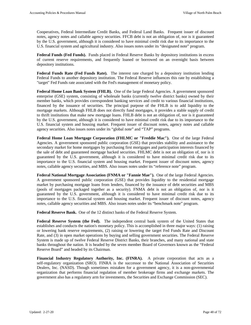Cooperatives, Federal Intermediate Credit Banks, and Federal Land Banks. Frequent issuer of discount notes, agency notes and callable agency securities. FFCB debt is not an obligation of, nor is it guaranteed by the U.S. government, although it is considered to have minimal credit risk due to its importance to the U.S. financial system and agricultural industry. Also issues notes under its "designated note" program.

**Federal Funds (Fed Funds).** Funds placed in Federal Reserve Banks by depository institutions in excess of current reserve requirements, and frequently loaned or borrowed on an overnight basis between depository institutions.

**Federal Funds Rate (Fed Funds Rate).** The interest rate charged by a depository institution lending Federal Funds to another depository institution. The Federal Reserve influences this rate by establishing a "target" Fed Funds rate associated with the Fed's management of monetary policy.

**Federal Home Loan Bank System (FHLB).** One of the large Federal Agencies. A government sponsored enterprise (GSE) system, consisting of wholesale banks (currently twelve district banks) owned by their member banks, which provides correspondent banking services and credit to various financial institutions, financed by the issuance of securities. The principal purpose of the FHLB is to add liquidity to the mortgage markets. Although FHLB does not directly fund mortgages, it provides a stable supply of credit to thrift institutions that make new mortgage loans. FHLB debt is not an obligation of, nor is it guaranteed by the U.S. government, although it is considered to have minimal credit risk due to its importance to the U.S. financial system and housing market. Frequent issuer of discount notes, agency notes and callable agency securities. Also issues notes under its "global note" and "TAP" programs.

**Federal Home Loan Mortgage Corporation (FHLMC or "Freddie Mac").** One of the large Federal Agencies. A government sponsored public corporation (GSE) that provides stability and assistance to the secondary market for home mortgages by purchasing first mortgages and participation interests financed by the sale of debt and guaranteed mortgage backed securities. FHLMC debt is not an obligation of, nor is it guaranteed by the U.S. government, although it is considered to have minimal credit risk due to its importance to the U.S. financial system and housing market. Frequent issuer of discount notes, agency notes, callable agency securities, and MBS. Also issues notes under its "reference note" program.

**Federal National Mortgage Association (FNMA or "Fannie Mae").** One of the large Federal Agencies. A government sponsored public corporation (GSE) that provides liquidity to the residential mortgage market by purchasing mortgage loans from lenders, financed by the issuance of debt securities and MBS (pools of mortgages packaged together as a security). FNMA debt is not an obligation of, nor is it guaranteed by the U.S. government, although it is considered to have minimal credit risk due to its importance to the U.S. financial system and housing market. Frequent issuer of discount notes, agency notes, callable agency securities and MBS. Also issues notes under its "benchmark note" program.

**Federal Reserve Bank.** One of the 12 distinct banks of the Federal Reserve System.

**Federal Reserve System (the Fed).** The independent central bank system of the United States that establishes and conducts the nation's monetary policy. This is accomplished in three major ways: (1) raising or lowering bank reserve requirements, (2) raising or lowering the target Fed Funds Rate and Discount Rate, and (3) in open market operations by buying and selling government securities. The Federal Reserve System is made up of twelve Federal Reserve District Banks, their branches, and many national and state banks throughout the nation. It is headed by the seven member Board of Governors known as the "Federal Reserve Board" and headed by its Chairman.

Financial Industry Regulatory Authority, Inc. (FINRA). A private corporation that acts as a self-regulatory organization (SRO). FINRA is the successor to the National Association of Securities Dealers, Inc. (NASD). Though sometimes mistaken for a government agency, it is a non-governmental organization that performs financial regulation of member brokerage firms and exchange markets. The government also has a regulatory arm for investments, the Securities and Exchange Commission (SEC).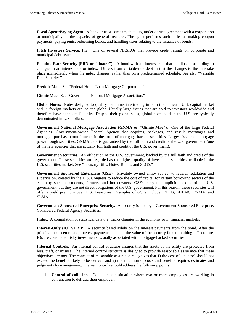Fiscal Agent/Paying Agent. A bank or trust company that acts, under a trust agreement with a corporation or municipality, in the capacity of general treasurer. The agent performs such duties as making coupon payments, paying rents, redeeming bonds, and handling taxes relating to the issuance of bonds.

**Fitch Investors Service, Inc.** One of several NRSROs that provide credit ratings on corporate and municipal debt issues.

**Floating Rate Security (FRN or "floater").** A bond with an interest rate that is adjusted according to changes in an interest rate or index. Differs from variable-rate debt in that the changes to the rate take place immediately when the index changes, rather than on a predetermined schedule. See also "Variable Rate Security."

**Freddie Mac.** See "Federal Home Loan Mortgage Corporation."

**Ginnie Mae.** See "Government National Mortgage Association."

**Global Notes:** Notes designed to qualify for immediate trading in both the domestic U.S. capital market and in foreign markets around the globe. Usually large issues that are sold to investors worldwide and therefore have excellent liquidity. Despite their global sales, global notes sold in the U.S. are typically denominated in U.S. dollars.

**Government National Mortgage Association (GNMA or "Ginnie Mae").** One of the large Federal Agencies. Government-owned Federal Agency that acquires, packages, and resells mortgages and mortgage purchase commitments in the form of mortgage-backed securities. Largest issuer of mortgage pass-through securities. GNMA debt is guaranteed by the full faith and credit of the U.S. government (one of the few agencies that are actually full faith and credit of the U.S. government).

**Government Securities.** An obligation of the U.S. government, backed by the full faith and credit of the government. These securities are regarded as the highest quality of investment securities available in the U.S. securities market. See "Treasury Bills, Notes, Bonds, and SLGS."

**Government Sponsored Enterprise (GSE).** Privately owned entity subject to federal regulation and supervision, created by the U.S. Congress to reduce the cost of capital for certain borrowing sectors of the economy such as students, farmers, and homeowners. GSEs carry the implicit backing of the U.S. government, but they are not direct obligations of the U.S. government. For this reason, these securities will offer a yield premium over U.S. Treasuries. Examples of GSEs include: FHLB, FHLMC, FNMA, and SLMA.

**Government Sponsored Enterprise Security.** A security issued by a Government Sponsored Enterprise. Considered Federal Agency Securities.

**Index.** A compilation of statistical data that tracks changes in the economy or in financial markets.

**Interest-Only (IO) STRIP.** A security based solely on the interest payments from the bond. After the principal has been repaid, interest payments stop and the value of the security falls to nothing. Therefore, IOs are considered risky investments. Usually associated with mortgage-backed securities.

**Internal Controls.** An internal control structure ensures that the assets of the entity are protected from loss, theft, or misuse. The internal control structure is designed to provide reasonable assurance that these objectives are met. The concept of reasonable assurance recognizes that 1) the cost of a control should not exceed the benefits likely to be derived and 2) the valuation of costs and benefits requires estimates and judgments by management. Internal controls should address the following points:

1. **Control of collusion** - Collusion is a situation where two or more employees are working in conjunction to defraud their employer.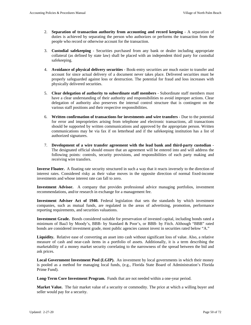- 2. **Separation of transaction authority from accounting and record keeping** A separation of duties is achieved by separating the person who authorizes or performs the transaction from the people who record or otherwise account for the transaction.
- 3. **Custodial safekeeping** Securities purchased from any bank or dealer including appropriate collateral (as defined by state law) shall be placed with an independent third party for custodial safekeeping.
- 4. **Avoidance of physical delivery securities** Book-entry securities are much easier to transfer and account for since actual delivery of a document never takes place. Delivered securities must be properly safeguarded against loss or destruction. The potential for fraud and loss increases with physically delivered securities.
- 5. **Clear delegation of authority to subordinate staff members** Subordinate staff members must have a clear understanding of their authority and responsibilities to avoid improper actions. Clear delegation of authority also preserves the internal control structure that is contingent on the various staff positions and their respective responsibilities.
- 6. **Written confirmation of transactions for investments and wire transfers** Due to the potential for error and improprieties arising from telephone and electronic transactions, all transactions should be supported by written communications and approved by the appropriate person. Written communications may be via fax if on letterhead and if the safekeeping institution has a list of authorized signatures.
- 7. **Development of a wire transfer agreement with the lead bank and third-party custodian** The designated official should ensure that an agreement will be entered into and will address the following points: controls, security provisions, and responsibilities of each party making and receiving wire transfers.

**Inverse Floater.** A floating rate security structured in such a way that it reacts inversely to the direction of interest rates. Considered risky as their value moves in the opposite direction of normal fixed-income investments and whose interest rate can fall to zero.

**Investment Advisor.** A company that provides professional advice managing portfolios, investment recommendations, and/or research in exchange for a management fee.

**Investment Adviser Act of 1940.** Federal legislation that sets the standards by which investment companies, such as mutual funds, are regulated in the areas of advertising, promotion, performance reporting requirements, and securities valuations.

**Investment Grade.** Bonds considered suitable for preservation of invested capital, including bonds rated a minimum of Baa3 by Moody's, BBB- by Standard & Poor's, or BBB- by Fitch. Although "BBB" rated bonds are considered investment grade, most public agencies cannot invest in securities rated below "A."

**Liquidity.** Relative ease of converting an asset into cash without significant loss of value. Also, a relative measure of cash and near-cash items in a portfolio of assets. Additionally, it is a term describing the marketability of a money market security correlating to the narrowness of the spread between the bid and ask prices.

**Local Government Investment Pool (LGIP).** An investment by local governments in which their money is pooled as a method for managing local funds, (e.g., Florida State Board of Administration's Florida Prime Fund).

**Long-Term Core Investment Program.** Funds that are not needed within a one-year period.

**Market Value.** The fair market value of a security or commodity. The price at which a willing buyer and seller would pay for a security.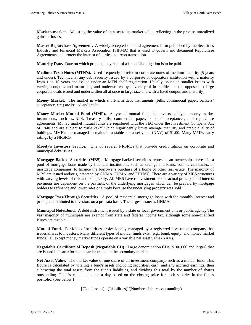**Mark-to-market.** Adjusting the value of an asset to its market value, reflecting in the process unrealized gains or losses.

**Master Repurchase Agreement.** A widely accepted standard agreement form published by the Securities Industry and Financial Markets Association (SIFMA) that is used to govern and document Repurchase Agreements and protect the interest of parties in a repo transaction.

**Maturity Date.** Date on which principal payment of a financial obligation is to be paid.

**Medium Term Notes (MTN's).** Used frequently to refer to corporate notes of medium maturity (5-years and under). Technically, any debt security issued by a corporate or depository institution with a maturity from 1 to 10 years and issued under an MTN shelf registration. Usually issued in smaller issues with varying coupons and maturities, and underwritten by a variety of broker/dealers (as opposed to large corporate deals issued and underwritten all at once in large size and with a fixed coupon and maturity).

**Money Market.** The market in which short-term debt instruments (bills, commercial paper, bankers' acceptance, etc.) are issued and traded.

**Money Market Mutual Fund (MMF).** A type of mutual fund that invests solely in money market instruments, such as: U.S. Treasury bills, commercial paper, bankers' acceptances, and repurchase agreements. Money market mutual funds are registered with the SEC under the Investment Company Act of 1940 and are subject to "rule 2a-7" which significantly limits average maturity and credit quality of holdings. MMF's are managed to maintain a stable net asset value (NAV) of \$1.00. Many MMFs carry ratings by a NRSRO.

**Moody's Investors Service.** One of several NRSROs that provide credit ratings on corporate and municipal debt issues.

**Mortgage Backed Securities (MBS).** Mortgage-backed securities represent an ownership interest in a pool of mortgage loans made by financial institutions, such as savings and loans, commercial banks, or mortgage companies, to finance the borrower's purchase of a home or other real estate. The majority of MBS are issued and/or guaranteed by GNMA, FNMA, and FHLMC. There are a variety of MBS structures with varying levels of risk and complexity. All MBS have reinvestment risk as actual principal and interest payments are dependent on the payment of the underlying mortgages which can be prepaid by mortgage holders to refinance and lower rates or simply because the underlying property was sold.

**Mortgage Pass-Through Securities.** A pool of residential mortgage loans with the monthly interest and principal distributed to investors on a pro-rata basis. The largest issuer is GNMA.

**Municipal Note/Bond.** A debt instrument issued by a state or local government unit or public agency.The vast majority of municipals are exempt from state and federal income tax, although some non-qualified issues are taxable.

**Mutual Fund.** Portfolio of securities professionally managed by a registered investment company that issues shares to investors. Many different types of mutual funds exist (e.g., bond, equity, and money market funds); all except money market funds operate on a variable net asset value (NAV).

**Negotiable Certificate of Deposit (Negotiable CD).** Large denomination CDs (\$100,000 and larger) that are issued in bearer form and can be traded in the secondary market.

**Net Asset Value.** The market value of one share of an investment company, such as a mutual fund. This figure is calculated by totaling a fund's assets including securities, cash, and any accrued earnings, then subtracting the total assets from the fund's liabilities, and dividing this total by the number of shares outstanding. This is calculated once a day based on the closing price for each security in the fund's portfolio. (See below.)

[(Total assets) - (Liabilities)]/(Number of shares outstanding)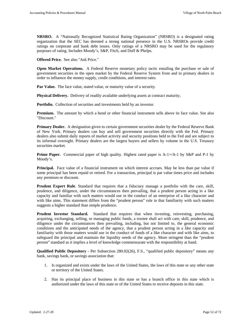**NRSRO.** A "Nationally Recognized Statistical Rating Organization" (NRSRO) is a designated rating organization that the SEC has deemed a strong national presence in the U.S. NRSROs provide credit ratings on corporate and bank debt issues. Only ratings of a NRSRO may be used for the regulatory purposes of rating. Includes Moody's, S&P, Fitch, and Duff & Phelps.

**Offered Price.** See also "Ask Price."

**Open Market Operations.** A Federal Reserve monetary policy tactic entailing the purchase or sale of government securities in the open market by the Federal Reserve System from and to primary dealers in order to influence the money supply, credit conditions, and interest rates.

Par Value. The face value, stated value, or maturity value of a security.

**Physical Delivery.** Delivery of readily available underlying assets at contract maturity.

**Portfolio.** Collection of securities and investments held by an investor.

**Premium.** The amount by which a bond or other financial instrument sells above its face value. See also "Discount."

**Primary Dealer.** A designation given to certain government securities dealer by the Federal Reserve Bank of New York. Primary dealers can buy and sell government securities directly with the Fed. Primary dealers also submit daily reports of market activity and security positions held to the Fed and are subject to its informal oversight. Primary dealers are the largest buyers and sellers by volume in the U.S. Treasury securities market.

**Prime Paper.** Commercial paper of high quality. Highest rated paper is A-1+/A-1 by S&P and P-1 by Moody's.

**Principal.** Face value of a financial instrument on which interest accrues. May be less than par value if some principal has been repaid or retired. For a transaction, principal is par value times price and includes any premium or discount.

**Prudent Expert Rule**. Standard that requires that a fiduciary manage a portfolio with the care, skill, prudence, and diligence, under the circumstances then prevailing, that a prudent person acting in a like capacity and familiar with such matters would use in the conduct of an enterprise of a like character and with like aims. This statement differs from the "prudent person" rule in that familiarity with such matters suggests a higher standard than simple prudence.

**Prudent Investor Standard.** Standard that requires that when investing, reinvesting, purchasing, acquiring, exchanging, selling, or managing public funds, a trustee shall act with care, skill, prudence, and diligence under the circumstances then prevailing, including, but not limited to, the general economic conditions and the anticipated needs of the agency, that a prudent person acting in a like capacity and familiarity with those matters would use in the conduct of funds of a like character and with like aims, to safeguard the principal and maintain the liquidity needs of the agency. More stringent than the "prudent person" standard as it implies a level of knowledge commensurate with the responsibility at hand.

**Qualified Public Depository** - Per Subsection 280.02(26), F.S., "qualified public depository" means any bank, savings bank, or savings association that:

- 1. Is organized and exists under the laws of the United States, the laws of this state or any other state or territory of the United States.
- 2. Has its principal place of business in this state or has a branch office in this state which is authorized under the laws of this state or of the United States to receive deposits in this state.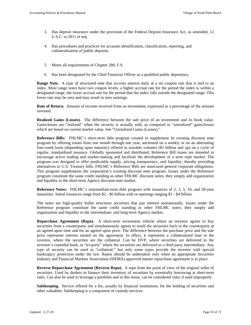- 3. Has deposit insurance under the provision of the Federal Deposit Insurance Act, as amended, 12 U.S.C. ss.1811 et seq.
- 4. Has procedures and practices for accurate identification, classification, reporting, and collateralization of public deposits.
- 5. Meets all requirements of Chapter 280, F.S.
- 6. Has been designated by the Chief Financial Officer as a qualified public depository.

**Range Note.** A type of structured note that accrues interest daily at a set coupon rate that is tied to an index. Most range notes have two coupon levels; a higher accrual rate for the period the index is within a designated range, the lower accrual rate for the period that the index falls outside the designated range. This lower rate may be zero and may result in zero earnings.

**Rate of Return.** Amount of income received from an investment, expressed as a percentage of the amount invested.

**Realized Gains (Losses).** The difference between the sale price of an investment and its book value. Gains/losses are "realized" when the security is actually sold, as compared to "unrealized" gains/losses which are based on current market value. See "Unrealized Gains (Losses)."

**Reference Bills:** FHLMC's short-term debt program created to supplement its existing discount note program by offering issues from one month through one year, auctioned on a weekly or on an alternating four-week basis (depending upon maturity) offered in sizeable volumes (\$1 billion and up) on a cycle of regular, standardized issuance. Globally sponsored and distributed, Reference Bill issues are intended to encourage active trading and market-making and facilitate the development of a term repo market. The program was designed to offer predictable supply, pricing transparency, and liquidity, thereby providing alternatives to U.S. Treasury bills. FHLMC's Reference Bills are unsecured general corporate obligations. This program supplements the corporation's existing discount note program. Issues under the Reference program constitute the same credit standing as other FHLMC discount notes; they simply add organization and liquidity to the short-term Agency discount note market.

**Reference Notes:** FHLMC's intermediate-term debt program with issuances of 2, 3, 5, 10, and 30-year maturities. Initial issuances range from \$2 - \$6 billion with re-openings ranging \$1 - \$4 billion.

The notes are high-quality bullet structures securities that pay interest semiannually. Issues under the Reference program constitute the same credit standing as other FHLMC notes; they simply add organization and liquidity to the intermediate- and long-term Agency market.

**Repurchase Agreement (Repo).** A short-term investment vehicle where an investor agrees to buy securities from a counterparty and simultaneously agrees to resell the securities back to the counterparty at an agreed upon time and for an agreed upon price. The difference between the purchase price and the sale price represents interest earned on the agreement. In effect, it represents a collateralized loan to the investor, where the securities are the collateral. Can be DVP, where securities are delivered to the investor's custodial bank, or "tri-party" where the securities are delivered to a third party intermediary. Any type of security can be used as "collateral," but only some types provide the investor with special bankruptcy protection under the law. Repos should be undertaken only when an appropriate Securities Industry and Financial Markets Association (SIFMA) approved master repurchase agreement is in place.

**Reverse Repurchase Agreement (Reverse Repo).** A repo from the point of view of the original seller of securities. Used by dealers to finance their inventory of securities by essentially borrowing at short-term rates. Can also be used to leverage a portfolio and in this sense, can be considered risky if used improperly.

**Safekeeping.** Service offered for a fee, usually by financial institutions, for the holding of securities and other valuables. Safekeeping is a component of custody services.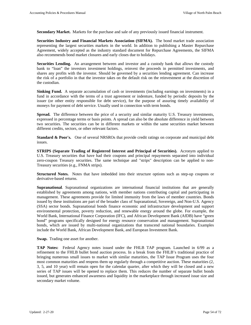**Secondary Market.** Markets for the purchase and sale of any previously issued financial instrument.

**Securities Industry and Financial Markets Association (SIFMA).** The bond market trade association representing the largest securities markets in the world. In addition to publishing a Master Repurchase Agreement, widely accepted as the industry standard document for Repurchase Agreements, the SIFMA also recommends bond market closures and early closes due to holidays.

**Securities Lending.** An arrangement between and investor and a custody bank that allows the custody bank to "loan" the investors investment holdings, reinvest the proceeds in permitted investments, and shares any profits with the investor. Should be governed by a securities lending agreement. Can increase the risk of a portfolio in that the investor takes on the default risk on the reinvestment at the discretion of the custodian.

**Sinking Fund.** A separate accumulation of cash or investments (including earnings on investments) in a fund in accordance with the terms of a trust agreement or indenture, funded by periodic deposits by the issuer (or other entity responsible for debt service), for the purpose of assuring timely availability of moneys for payment of debt service. Usually used in connection with term bonds.

**Spread.** The difference between the price of a security and similar maturity U.S. Treasury investments, expressed in percentage terms or basis points. A spread can also be the absolute difference in yield between two securities. The securities can be in different markets or within the same securities market between different credits, sectors, or other relevant factors.

**Standard & Poor's.** One of several NRSROs that provide credit ratings on corporate and municipal debt issues.

**STRIPS (Separate Trading of Registered Interest and Principal of Securities).** Acronym applied to U.S. Treasury securities that have had their coupons and principal repayments separated into individual zero-coupon Treasury securities. The same technique and "strips" description can be applied to non-Treasury securities (e.g., FNMA strips).

**Structured Notes.** Notes that have imbedded into their structure options such as step-up coupons or derivative-based returns.

**Supranational**. Supranational organizations are international financial institutions that are generally established by agreements among nations, with member nations contributing capital and participating in management. These agreements provide for limited immunity from the laws of member countries. Bonds issued by these institutions are part of the broader class of Supranational, Sovereign, and Non-U.S. Agency (SSA) sector bonds. Supranational bonds finance economic and infrastructure development and support environmental protection, poverty reduction, and renewable energy around the globe. For example, the World Bank, International Finance Corporation (IFC), and African Development Bank (AfDB) have "green bond" programs specifically designed for energy resource conservation and management. Supranational bonds, which are issued by multi-national organizations that transcend national boundaries. Examples include the World Bank, African Development Bank, and European Investment Bank.

**Swap.** Trading one asset for another.

**TAP Notes:** Federal Agency notes issued under the FHLB TAP program. Launched in 6/99 as a refinement to the FHLB bullet bond auction process. In a break from the FHLB's traditional practice of bringing numerous small issues to market with similar maturities, the TAP Issue Program uses the four most common maturities and reopens them up regularly through a competitive auction. These maturities (2, 3, 5, and 10 year) will remain open for the calendar quarter, after which they will be closed and a new series of TAP issues will be opened to replace them. This reduces the number of separate bullet bonds issued, but generates enhanced awareness and liquidity in the marketplace through increased issue size and secondary market volume.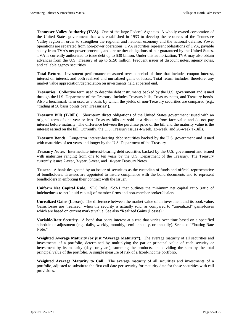**Tennessee Valley Authority (TVA).** One of the large Federal Agencies. A wholly owned corporation of the United States government that was established in 1933 to develop the resources of the Tennessee Valley region in order to strengthen the regional and national economy and the national defense. Power operations are separated from non-power operations. TVA securities represent obligations of TVA, payable solely from TVA's net power proceeds, and are neither obligations of nor guaranteed by the United States. TVA is currently authorized to issue debt up to \$30 billion. Under this authorization, TVA may also obtain advances from the U.S. Treasury of up to \$150 million. Frequent issuer of discount notes, agency notes, and callable agency securities.

**Total Return.** Investment performance measured over a period of time that includes coupon interest, interest on interest, and both realized and unrealized gains or losses. Total return includes, therefore, any market value appreciation/depreciation on investments held at period end.

**Treasuries.** Collective term used to describe debt instruments backed by the U.S. government and issued through the U.S. Department of the Treasury. Includes Treasury bills, Treasury notes, and Treasury bonds. Also a benchmark term used as a basis by which the yields of non-Treasury securities are compared (e.g., "trading at 50 basis points over Treasuries").

**Treasury Bills (T-Bills).** Short-term direct obligations of the United States government issued with an original term of one year or less. Treasury bills are sold at a discount from face value and do not pay interest before maturity. The difference between the purchase price of the bill and the maturity value is the interest earned on the bill. Currently, the U.S. Treasury issues 4-week, 13-week, and 26-week T-Bills.

**Treasury Bonds.** Long-term interest-bearing debt securities backed by the U.S. government and issued with maturities of ten years and longer by the U.S. Department of the Treasury.

**Treasury Notes.** Intermediate interest-bearing debt securities backed by the U.S. government and issued with maturities ranging from one to ten years by the U.S. Department of the Treasury. The Treasury currently issues 2-year, 3-year, 5-year, and 10-year Treasury Notes.

**Trustee.** A bank designated by an issuer of securities as the custodian of funds and official representative of bondholders. Trustees are appointed to insure compliance with the bond documents and to represent bondholders in enforcing their contract with the issuer.

**Uniform Net Capital Rule.** SEC Rule 15c3-1 that outlines the minimum net capital ratio (ratio of indebtedness to net liquid capital) of member firms and non-member broker/dealers.

**Unrealized Gains (Losses).** The difference between the market value of an investment and its book value. Gains/losses are "realized" when the security is actually sold, as compared to "unrealized" gains/losses which are based on current market value. See also "Realized Gains (Losses)."

**Variable-Rate Security.** A bond that bears interest at a rate that varies over time based on a specified schedule of adjustment (e.g., daily, weekly, monthly, semi-annually, or annually). See also "Floating Rate Note."

**Weighted Average Maturity (or just "Average Maturity").** The average maturity of all securities and investments of a portfolio, determined by multiplying the par or principal value of each security or investment by its maturity (days or years), summing the products, and dividing the sum by the total principal value of the portfolio. A simple measure of risk of a fixed-income portfolio.

**Weighted Average Maturity to Call.** The average maturity of all securities and investments of a portfolio, adjusted to substitute the first call date per security for maturity date for those securities with call provisions.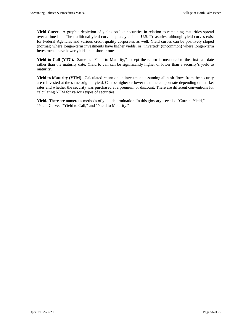Yield Curve. A graphic depiction of yields on like securities in relation to remaining maturities spread over a time line. The traditional yield curve depicts yields on U.S. Treasuries, although yield curves exist for Federal Agencies and various credit quality corporates as well. Yield curves can be positively sloped (normal) where longer-term investments have higher yields, or "inverted" (uncommon) where longer-term investments have lower yields than shorter ones.

**Yield to Call (YTC).** Same as "Yield to Maturity," except the return is measured to the first call date rather than the maturity date. Yield to call can be significantly higher or lower than a security's yield to maturity.

**Yield to Maturity (YTM).** Calculated return on an investment, assuming all cash-flows from the security are reinvested at the same original yield. Can be higher or lower than the coupon rate depending on market rates and whether the security was purchased at a premium or discount. There are different conventions for calculating YTM for various types of securities.

**Yield.** There are numerous methods of yield determination. In this glossary, see also "Current Yield," "Yield Curve," "Yield to Call," and "Yield to Maturity."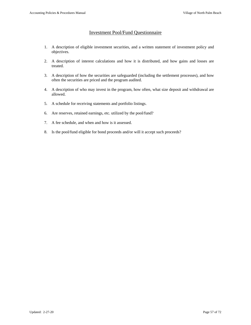# Investment Pool/Fund Questionnaire

- 1. A description of eligible investment securities, and a written statement of investment policy and objectives.
- 2. A description of interest calculations and how it is distributed, and how gains and losses are treated.
- 3. A description of how the securities are safeguarded (including the settlement processes), and how often the securities are priced and the program audited.
- 4. A description of who may invest in the program, how often, what size deposit and withdrawal are allowed.
- 5. A schedule for receiving statements and portfolio listings.
- 6. Are reserves, retained earnings, etc. utilized by the pool/fund?
- 7. A fee schedule, and when and how is it assessed.
- 8. Is the pool/fund eligible for bond proceeds and/or will it accept such proceeds?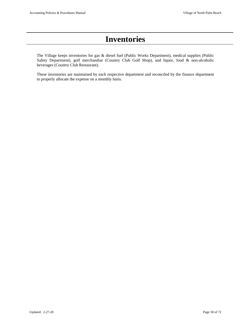# **Inventories**

The Village keeps inventories for gas & diesel fuel (Public Works Department), medical supplies (Public Safety Department), golf merchandise (Country Club Golf Shop), and liquor, food & non-alcoholic beverages (Country Club Restaurant).

These inventories are maintained by each respective department and reconciled by the finance department to properly allocate the expense on a monthly basis.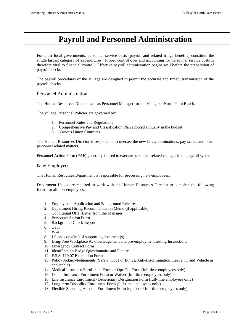# **Payroll and Personnel Administration**

For most local governments, personnel service costs (payroll and related fringe benefits) constitute the single largest category of expenditures. Proper control over and accounting for personnel service costs is therefore vital to financial control. Effective payroll administration begins well before the preparation of payroll checks.

The payroll procedures of the Village are designed to permit the accurate and timely transmission of the payroll checks.

## Personnel Administration

The Human Resources Director acts as Personnel Manager for the Village of North Palm Beach.

The Village Personnel Policies are governed by:

- 1. Personnel Rules and Regulations
- 2. Comprehensive Pay and Classification Plan adopted annually in the budget
- 3. Various Union Contracts

The Human Resources Director is responsible to oversee the new hires, terminations, pay scales and other personnel related matters.

Personnel Action Form (PAF) generally is used to execute personnel related changes in the payroll system.

#### New Employees

The Human Resources Department is responsible for processing new employees.

Department Heads are required to work with the Human Resources Director to complete the following forms for all new employees:

- 1. Employment Application and Background Releases
- 2. Department Hiring Recommendation Memo (if applicable)
- 3. Conditional Offer Letter from the Manager
- 4. Personnel Action Form
- 5. Background Check Report
- 6. Oath
- 7. W-4
- 8. I-9 and copy(ies) of supporting document(s)
- 9. Drug-Free Workplace Acknowledgement and pre-employment testing Instructions
- 10. Emergency Contact Form
- 11. Identification Badge Questionnaire and Picture
- 12. F.S.S. 119.07 Exemption Form
- 13. Policy Acknowledgements (Safety, Code of Ethics, Anti-Discrimination, Leave, IT and Vehicle as applicable)
- 14. Medical Insurance Enrollment Form or Opt-Out Form (full-time employees only)
- 15. Dental Insurance Enrollment Form or Waiver (full-time employees only)
- 16. Life Insurance Enrollment / Beneficiary Designation Form (full-time employees only)
- 17. Long-term Disability Enrollment Form (full-time employees only)
- 18. Flexible Spending Account Enrollment Form (optional / full-time employees only)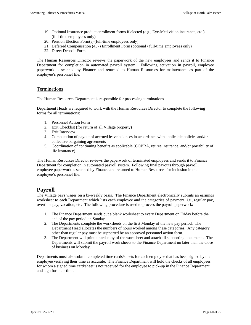- 19. Optional Insurance product enrollment forms if elected (e.g., Eye-Med vision insurance, etc.) (full-time employees only)
- 20. Pension Election Form(s) (full-time employees only)
- 21. Deferred Compensation (457) Enrollment Form (optional / full-time employees only)
- 22. Direct Deposit Form

The Human Resources Director reviews the paperwork of the new employees and sends it to Finance Department for completion in automated payroll system. Following activation in payroll, employee paperwork is scanned by Finance and returned to Human Resources for maintenance as part of the employee's personnel file.

### Terminations

The Human Resources Department is responsible for processing terminations.

Department Heads are required to work with the Human Resources Director to complete the following forms for all terminations:

- 1. Personnel Action Form
- 2. Exit Checklist (for return of all Village property)
- 3. Exit Interview
- 4. Computation of payout of accrued leave balances in accordance with applicable policies and/or collective bargaining agreements
- 5. Coordination of continuing benefits as applicable (COBRA, retiree insurance, and/or portability of life insurance)

The Human Resources Director reviews the paperwork of terminated employees and sends it to Finance Department for completion in automated payroll system. Following final payouts through payroll, employee paperwork is scanned by Finance and returned to Human Resources for inclusion in the employee's personnel file.

# **Payroll**

The Village pays wages on a bi-weekly basis. The Finance Department electronically submits an earnings worksheet to each Department which lists each employee and the categories of payment, i.e., regular pay, overtime pay, vacation, etc. The following procedure is used to process the payroll paperwork:

- 1. The Finance Department sends out a blank worksheet to every Department on Friday before the end of the pay period on Sunday.
- 2. The Departments complete the worksheets on the first Monday of the new pay period. The Department Head allocates the numbers of hours worked among these categories. Any category other than regular pay must be supported by an approved personnel action form.
- 3. The Department will print a hard copy of the worksheet and attach all supporting documents. The Departments will submit the payroll work sheets to the Finance Department no later than the close of business on Monday.

Departments must also submit completed time cards/sheets for each employee that has been signed by the employee verifying their time as accurate. The Finance Department will hold the checks of all employees for whom a signed time card/sheet is not received for the employee to pick-up in the Finance Department and sign for their time.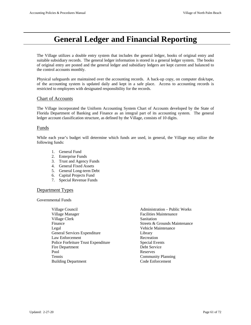# **General Ledger and Financial Reporting**

The Village utilizes a double entry system that includes the general ledger, books of original entry and suitable subsidiary records. The general ledger information is stored in a general ledger system. The books of original entry are posted and the general ledger and subsidiary ledgers are kept current and balanced to the control accounts monthly.

Physical safeguards are maintained over the accounting records. A back-up copy, on computer disk/tape, of the accounting system is updated daily and kept in a safe place. Access to accounting records is restricted to employees with designated responsibility for the records.

## Chart of Accounts

The Village incorporated the Uniform Accounting System Chart of Accounts developed by the State of Florida Department of Banking and Finance as an integral part of its accounting system. The general ledger account classification structure, as defined by the Village, consists of 10 digits.

## Funds

While each year's budget will determine which funds are used, in general, the Village may utilize the following funds:

- 1. General Fund
- 2. Enterprise Funds
- 3. Trust and Agency Funds
- 4. General Fixed Assets
- 5. General Long-term Debt
- 6. Capital Projects Fund
- 7. Special Revenue Funds

### Department Types

Governmental Funds

| Village Council                     | <b>Administration - Public Works</b> |
|-------------------------------------|--------------------------------------|
| Village Manager                     | <b>Facilities Maintenance</b>        |
| Village Clerk                       | Sanitation                           |
| Finance                             | Streets & Grounds Maintenance        |
| Legal                               | Vehicle Maintenance                  |
| General Services Expenditure        | Library                              |
| Law Enforcement                     | Recreation                           |
| Police Forfeiture Trust Expenditure | <b>Special Events</b>                |
| Fire Department                     | Debt Service                         |
| Pool                                | Reserves                             |
| <b>Tennis</b>                       | <b>Community Planning</b>            |
| <b>Building Department</b>          | Code Enforcement                     |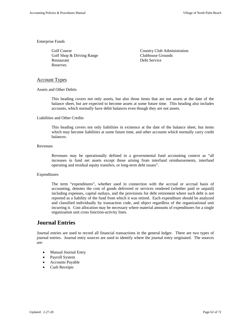#### Enterprise Funds

Golf Shop & Driving Range Restaurant Debt Service Reserves

Golf Course Country Club Administration<br>
Golf Shop & Driving Range Clubhouse Grounds

#### Account Types

Assets and Other Debits

This heading covers not only assets, but also those items that are not assets at the date of the balance sheet, but are expected to become assets at some future time. This heading also includes accounts, which normally have debit balances even though they are not assets.

#### Liabilities and Other Credits

This heading covers not only liabilities in existence at the date of the balance sheet, but items which may become liabilities at some future time, and other accounts which normally carry credit balances.

#### Revenues

Revenues may be operationally defined in a governmental fund accounting context as "all increases in fund net assets except those arising from interfund reimbursements, interfund operating and residual equity transfers, or long-term debt issues".

#### Expenditures

The term "expenditures", whether used in connection with the accrual or accrual basis of accounting, denotes the cost of goods delivered or services rendered (whether paid or unpaid) including expenses, capital outlays, and the provisions for debt retirement where such debt is not reported as a liability of the fund from which it was retired. Each expenditure should be analyzed and classified individually by transaction code, and object regardless of the organizational unit incurring it. Cost allocation may be necessary where material amounts of expenditures for a single organization unit cross function-activity lines.

# **Journal Entries**

Journal entries are used to record all financial transactions in the general ledger. There are two types of journal entries. Journal entry sources are used to identify where the journal entry originated. The sources are:

- Manual Journal Entry
- Payroll System
- Accounts Payable
- Cash Receipts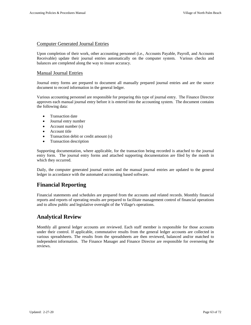## Computer Generated Journal Entries

Upon completion of their work, other accounting personnel (i.e., Accounts Payable, Payroll, and Accounts Receivable) update their journal entries automatically on the computer system. Various checks and balances are completed along the way to insure accuracy.

# Manual Journal Entries

Journal entry forms are prepared to document all manually prepared journal entries and are the source document to record information in the general ledger.

Various accounting personnel are responsible for preparing this type of journal entry. The Finance Director approves each manual journal entry before it is entered into the accounting system. The document contains the following data:

- Transaction date
- Journal entry number
- Account number (s)
- Account title
- Transaction debit or credit amount (s)
- Transaction description

Supporting documentation, where applicable, for the transaction being recorded is attached to the journal entry form. The journal entry forms and attached supporting documentation are filed by the month in which they occurred.

Daily, the computer generated journal entries and the manual journal entries are updated to the general ledger in accordance with the automated accounting based software.

# **Financial Reporting**

Financial statements and schedules are prepared from the accounts and related records. Monthly financial reports and reports of operating results are prepared to facilitate management control of financial operations and to allow public and legislative oversight of the Village's operations.

# **Analytical Review**

Monthly all general ledger accounts are reviewed. Each staff member is responsible for those accounts under their control. If applicable, commutative results from the general ledger accounts are collected in various spreadsheets. The results from the spreadsheets are then reviewed, balanced and/or matched to independent information. The Finance Manager and Finance Director are responsible for overseeing the reviews.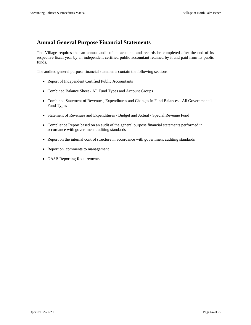# **Annual General Purpose Financial Statements**

The Village requires that an annual audit of its accounts and records be completed after the end of its respective fiscal year by an independent certified public accountant retained by it and paid from its public funds.

The audited general purpose financial statements contain the following sections:

- Report of Independent Certified Public Accountants
- Combined Balance Sheet All Fund Types and Account Groups
- Combined Statement of Revenues, Expenditures and Changes in Fund Balances All Governmental Fund Types
- Statement of Revenues and Expenditures Budget and Actual Special Revenue Fund
- Compliance Report based on an audit of the general purpose financial statements performed in accordance with government auditing standards
- Report on the internal control structure in accordance with government auditing standards
- Report on comments to management
- GASB Reporting Requirements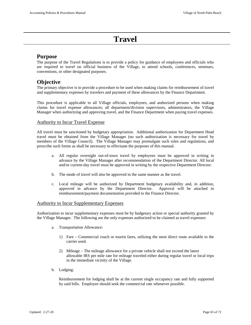# **Travel**

# **Purpose**

The purpose of the Travel Regulations is to provide a policy for guidance of employees and officials who are required to travel on official business of the Village, to attend schools, conferences, seminars, conventions, or other designated purposes.

# **Objective**

The primary objective is to provide a procedure to be used when making claims for reimbursement of travel and supplementary expenses by travelers and payment of these allowances by the Finance Department.

This procedure is applicable to all Village officials, employees, and authorized persons when making claims for travel expense allowances; all department/division supervisors, administrators, the Village Manager when authorizing and approving travel, and the Finance Department when paying travel expenses.

# Authority to Incur Travel Expense

All travel must be sanctioned by budgetary appropriation. Additional authorization for Department Head travel must be obtained from the Village Manager (no such authorization is necessary for travel by members of the Village Council). The Village Manager may promulgate such rules and regulations, and prescribe such forms as shall be necessary to effectuate the purposes of this manual.

- a. All regular overnight out-of-town travel by employees must be approved in writing in advance by the Village Manager after recommendation of the Department Director. All local and/or current-day travel must be approved in writing by the respective Department Director.
- b. The mode of travel will also be approved in the same manner as the travel.
- c. Local mileage will be authorized by Department budgetary availability and, in addition, approved in advance by the Department Director. Approval will be attached in reimbursement/payment documentation provided to the Finance Director.

# Authority to Incur Supplementary Expenses

Authorization to incur supplementary expenses must be by budgetary action or special authority granted by the Village Manager. The following are the only expenses authorized to be claimed as travel expenses:

- a. Transportation Allowance:
	- 1) Fare Commercial coach or tourist fares, utilizing the most direct route available to the carrier used.
	- 2) Mileage The mileage allowance for a private vehicle shall not exceed the latest allowable IRS per mile rate for mileage traveled either during regular travel or local trips in the immediate vicinity of the Village.
- b. Lodging:

Reimbursement for lodging shall be at the current single occupancy rate and fully supported by said bills. Employee should seek the commercial rate whenever possible.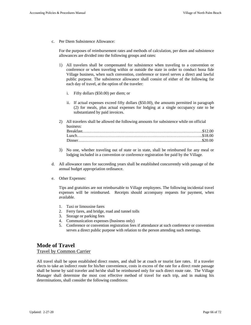c. Per Diem Subsistence Allowance:

For the purposes of reimbursement rates and methods of calculation, per diem and subsistence allowances are divided into the following groups and rates:

- 1) All travelers shall be compensated for subsistence when traveling to a convention or conference or when traveling within or outside the state in order to conduct bona fide Village business, when such convention, conference or travel serves a direct and lawful public purpose. The subsistence allowance shall consist of either of the following for each day of travel, at the option of the traveler:
	- i. Fifty dollars (\$50.00) per diem; or
	- ii. If actual expenses exceed fifty dollars (\$50.00), the amounts permitted in paragraph (2) for meals, plus actual expenses for lodging at a single occupancy rate to be substantiated by paid invoices.
- 2) All travelers shall be allowed the following amounts for subsistence while on official business: Breakfast…………………………………………………………………………….\$12.00 Lunch………………………………………………………………………………..\$18.00 Dinner………………………………………………….............................................\$20.00
- 3) No one, whether traveling out of state or in state, shall be reimbursed for any meal or lodging included in a convention or conference registration fee paid by the Village.
- d. All allowance rates for succeeding years shall be established concurrently with passage of the annual budget appropriation ordinance.
- e. Other Expenses:

Tips and gratuities are not reimbursable to Village employees. The following incidental travel expenses will be reimbursed. Receipts should accompany requests for payment, when available.

- 1. Taxi or limousine fares
- 2. Ferry fares, and bridge, road and tunnel tolls
- 3. Storage or parking fees
- 4. Communication expenses (business only)
- 5. Conference or convention registration fees if attendance at such conference or convention serves a direct public purpose with relation to the person attending such meetings.

# **Mode of Travel**  Travel by Common Carrier

All travel shall be upon established direct routes, and shall be at coach or tourist fare rates. If a traveler elects to take an indirect route for his/her convenience, costs in excess of the rate for a direct route passage shall be borne by said traveler and he/she shall be reimbursed only for such direct route rate. The Village Manager shall determine the most cost effective method of travel for each trip, and in making his determinations, shall consider the following conditions: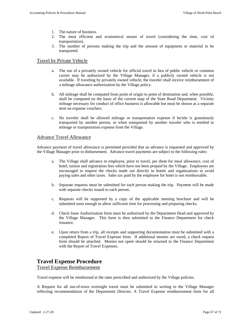- 1. The nature of business.
- 2. The most efficient and economical means of travel (considering the time, cost of transportation).
- 3. The number of persons making the trip and the amount of equipment or material to be transported.

## Travel by Private Vehicle

- a. The use of a privately owned vehicle for official travel in lieu of public vehicle or common carrier may be authorized by the Village Manager, if a publicly owned vehicle is not available. If traveling by privately owned vehicle, the traveler shall receive reimbursement of a mileage allowance authorization by the Village policy.
- b. All mileage shall be computed from point of origin to point of destination and, when possible, shall be computed on the basis of the current map of the State Road Department. Vicinity mileage necessary for conduct of office business is allowable but must be shown as a separate item on expense vouchers.
- c. No traveler shall be allowed mileage or transportation expense if he/she is gratuitously transported by another person, or when transported by another traveler who is entitled to mileage or transportation expense from the Village.

### Advance Travel Allowance

Advance payment of travel allowance is permitted provided that an advance is requested and approved by the Village Manager prior to disbursement. Advance travel payments are subject to the following rules:

- a. The Village shall advance to employee, prior to travel, per diem for meal allowance, cost of hotel, tuition and registration fees which have not been prepaid by the Village. Employees are encouraged to request the checks made out directly to hotels and organizations to avoid paying sales and other taxes. Sales tax paid by the employee for hotel is not reimbursable.
- b. Separate requests must be submitted for each person making the trip. Payment will be made with separate checks issued to each person.
- c. Requests will be supported by a copy of the applicable meeting brochure and will be submitted soon enough to allow sufficient time for processing and preparing checks.
- d. Check Issue Authorization form must be authorized by the Department Head and approved by the Village Manager. This form is then submitted to the Finance Department for check issuance.
- e. Upon return from a trip, all receipts and supporting documentation must be submitted with a completed Report of Travel Expense form. If additional monies are owed, a check request form should be attached. Monies not spent should be returned to the Finance Department with the Report of Travel Expenses.

# **Travel Expense Procedure**

# Travel Expense Reimbursement

Travel expense will be reimbursed at the rates prescribed and authorized by the Village policies.

A Request for all out-of-town overnight travel must be submitted in writing to the Village Manager reflecting recommendation of the Department Director. A Travel Expense reimbursement form for all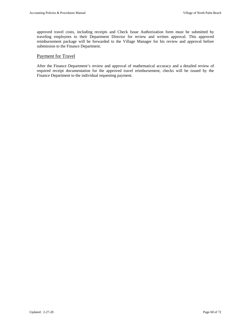approved travel costs, including receipts and Check Issue Authorization form must be submitted by traveling employees to their Department Director for review and written approval. This approved reimbursement package will be forwarded to the Village Manager for his review and approval before submission to the Finance Department.

# Payment for Travel

After the Finance Department's review and approval of mathematical accuracy and a detailed review of required receipt documentation for the approved travel reimbursement, checks will be issued by the Finance Department to the individual requesting payment.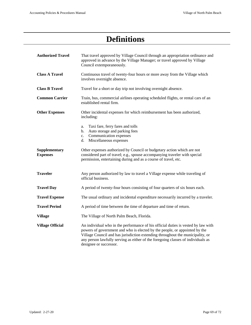# **Definitions**

| <b>Authorized Travel</b>         | That travel approved by Village Council through an appropriation ordinance and<br>approved in advance by the Village Manager; or travel approved by Village<br>Council extemporaneously.                                                                                                                                                                        |  |  |  |
|----------------------------------|-----------------------------------------------------------------------------------------------------------------------------------------------------------------------------------------------------------------------------------------------------------------------------------------------------------------------------------------------------------------|--|--|--|
| <b>Class A Travel</b>            | Continuous travel of twenty-four hours or more away from the Village which<br>involves overnight absence.                                                                                                                                                                                                                                                       |  |  |  |
| <b>Class B Travel</b>            | Travel for a short or day trip not involving overnight absence.                                                                                                                                                                                                                                                                                                 |  |  |  |
| <b>Common Carrier</b>            | Train, bus, commercial airlines operating scheduled flights, or rental cars of an<br>established rental firm.                                                                                                                                                                                                                                                   |  |  |  |
| <b>Other Expenses</b>            | Other incidental expenses for which reimbursement has been authorized,<br>including:                                                                                                                                                                                                                                                                            |  |  |  |
|                                  | Taxi fare, ferry fares and tolls<br>a.<br>Auto storage and parking fees<br>b.<br>Communication expenses<br>c.<br>Miscellaneous expenses<br>d.                                                                                                                                                                                                                   |  |  |  |
| Supplementary<br><b>Expenses</b> | Other expenses authorized by Council or budgetary action which are not<br>considered part of travel; e.g., spouse accompanying traveler with special<br>permission, entertaining during and as a course of travel, etc.                                                                                                                                         |  |  |  |
| <b>Traveler</b>                  | Any person authorized by law to travel a Village expense while traveling of<br>official business.                                                                                                                                                                                                                                                               |  |  |  |
| <b>Travel Day</b>                | A period of twenty-four hours consisting of four quarters of six hours each.                                                                                                                                                                                                                                                                                    |  |  |  |
| <b>Travel Expense</b>            | The usual ordinary and incidental expenditure necessarily incurred by a traveler.                                                                                                                                                                                                                                                                               |  |  |  |
| <b>Travel Period</b>             | A period of time between the time of departure and time of return.                                                                                                                                                                                                                                                                                              |  |  |  |
| <b>Village</b>                   | The Village of North Palm Beach, Florida.                                                                                                                                                                                                                                                                                                                       |  |  |  |
| <b>Village Official</b>          | An individual who in the performance of his official duties is vested by law with<br>powers of government and who is elected by the people, or appointed by the<br>Village Council and has jurisdiction extending throughout the municipality, or<br>any person lawfully serving as either of the foregoing classes of individuals as<br>designee or successor. |  |  |  |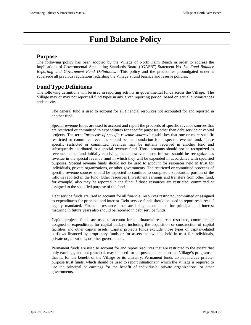# **Fund Balance Policy**

# **Purpose**

The following policy has been adopted by the Village of North Palm Beach in order to address the implications of Governmental Accounting Standards Board ("GASB") Statement No. 54, *Fund Balance Reporting and Government Fund Definitions*. This policy and the procedures promulgated under it supersede all previous regulations regarding the Village's fund balance and reserve policies.

# **Fund Type Definitions**

The following definitions will be used in reporting activity in governmental funds across the Village. The Village may or may not report all fund types in any given reporting period, based on actual circumstances and activity.

The general fund is used to account for all financial resources not accounted for and reported in another fund.

Special revenue funds are used to account and report the proceeds of specific revenue sources that are restricted or committed to expenditures for specific purposes other than debt service or capital projects. The term "*proceeds of specific revenue sources"* establishes that one or more specific restricted or committed revenues should be the foundation for a special revenue fund. Those specific restricted or committed revenues may be initially received in another fund and subsequently distributed to a special revenue fund. Those amounts should not be recognized as revenue in the fund initially receiving them; however, those inflows should be recognized as revenue in the special revenue fund in which they will be expended in accordance with specified purposes. Special revenue funds should not be used to account for resources held in trust for individuals, private organizations, or other governments. The restricted or committed proceeds of specific revenue sources should be expected to continue to comprise a substantial portion of the inflows reported in the fund. Other resources (investment earnings and transfers from other fund, for example) also may be reported in the fund if those resources are restricted, committed or assigned to the specified purpose of the fund.

Debt service funds are used to account for all financial resources restricted, committed or assigned to expenditures for principal and interest. Debt service funds should be used to report resources if legally mandated. Financial resources that are being accumulated for principal and interest maturing in future years also should be reported in debt service funds.

Capital projects funds are used to account for all financial resources restricted, committed or assigned to expenditures for capital outlays, including the acquisition or construction of capital facilities and other capital assets. Capital projects funds exclude those types of capital-related outflows financed by proprietary funds or for assets that will be held in trust for individuals, private organizations, or other governments.

Permanent funds are used to account for and report resources that are restricted to the extent that only earnings, and not principal, may be used for purposes that support the Village's programs – that is, for the benefit of the Village or its citizenry. Permanent funds do not include privatepurpose trust funds, which should be used to report situations in which the Village is required to use the principal or earnings for the benefit of individuals, private organizations, or other governments.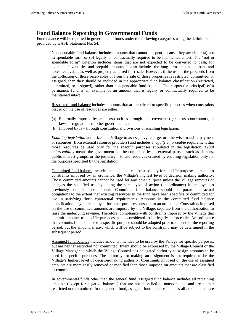# **Fund Balance Reporting in Governmental Funds**

Fund balance will be reported in governmental funds under the following categories using the definitions provided by GASB Statement No. 54:

Nonspendable fund balance includes amounts that cannot be spent because they are either (a) not in spendable form or (b) legally or contractually required to be maintained intact. The "not in spendable form" criterion includes items that are not expected to be converted to cash, for example, inventories and prepaid amounts. It also includes the long-term amount of loans and notes receivable, as well as property acquired for resale. However, if the use of the proceeds from the collection of those receivables or from the sale of those properties is restricted, committed, or assigned, then they should be included in the appropriate fund balance classification (restricted, committed, or assigned), rather than nonspendable fund balance. The corpus (or principal) of a permanent fund is an example of an amount that is legally or contractually required to be maintained intact

Restricted fund balance includes amounts that are restricted to specific purposes when constraints placed on the use of resources are either:

- (a) Externally imposed by creditors (such as through debt covenants), grantors, contributors, or laws or regulations of other governments; or
- (b) Imposed by law through constitutional provisions or enabling legislation.

*Enabling legislation* authorizes the Village to assess, levy, charge, or otherwise mandate payment or resources (from external resource providers) and includes a *legally enforceable* requirement that those resources be used only for the specific purposes stipulated in the legislation. *Legal enforceability* means the government can be compelled by an external party – such as citizens, public interest groups, or the judiciary – to use resources created by enabling legislation only for the purposes specified by the legislation.

Committed fund balance includes amounts that can be used only for specific purposes pursuant to constraints imposed by an ordinance, the Village's highest level of decision making authority. Those committed amounts cannot be used for any other purpose unless the Village removes or changes the specified use by taking the same type of action (an ordinance) it employed to previously commit those amounts. Committed fund balance should incorporate contractual obligations to the extent that existing resources in the fund have been specifically committed for use in satisfying those contractual requirements. Amounts in the committed fund balance classification may be redeployed for other purposes pursuant to an ordinance. Constraints imposed on the use of committed amounts are imposed by the Village, separate from the authorization to raise the underlying revenue. Therefore, compliance with constraints imposed by the Village that commit amounts to specific purposes is not considered to be legally enforceable. An ordinance that commits fund balance to a specific purpose should be adopted prior to the end of the reporting period, but the amount, if any, which will be subject to the constraint, may be determined in the subsequent period.

Assigned fund balance includes amounts intended to be used by the Village for specific purposes, but are neither restricted nor committed. Intent should be expressed by the Village Council or the Village Manager to which the Village Council has delegated authority to assign amounts to be used for specific purposes. The authority for making an assignment is not required to be the Village's highest level of decision-making authority. Constraints imposed on the use of assigned amounts are more easily removed or modified than those imposed on amounts that are classified as committed.

In governmental funds other than the general fund, assigned fund balance includes all remaining amounts (except for negative balances) that are not classified as nonspendable and are neither restricted nor committed. In the general fund, assigned fund balance includes all amounts that are